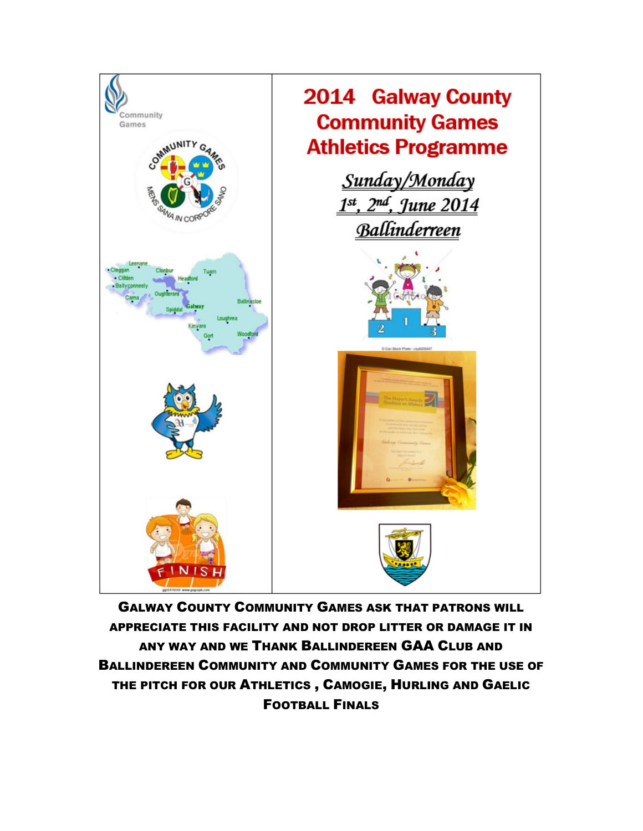

GALWAY COUNTY COMMUNITY GAMES ASK THAT PATRONS WILL APPRECIATE THIS FACILITY AND NOT DROP LITTER OR DAMAGE IT IN ANY WAY AND WE THANK BALLINDEREEN GAA CLUB AND BALLINDEREEN COMMUNITY AND COMMUNITY GAMES FOR THE USE OF THE PITCH FOR OUR ATHLETICS , CAMOGIE, HURLING AND GAELIC FOOTBALL FINALS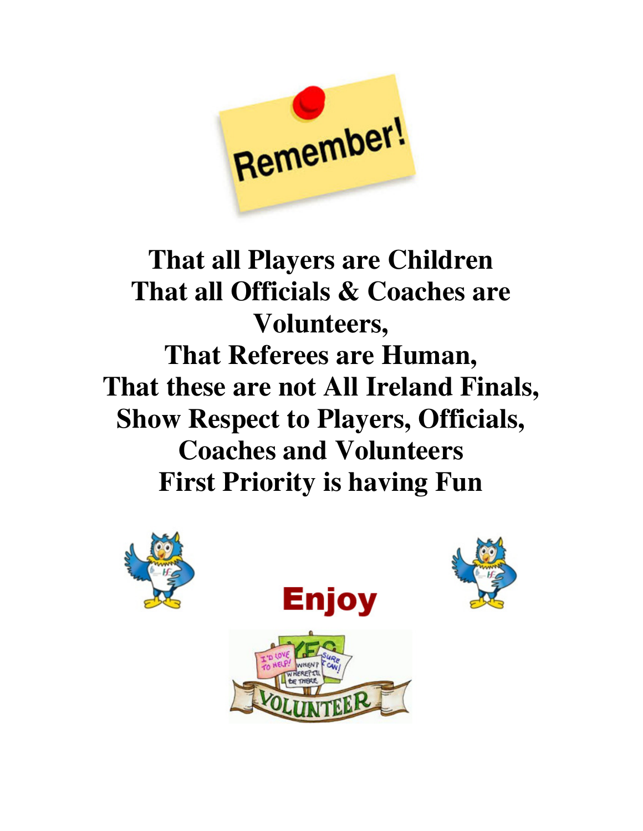

# **That all Players are Children That all Officials & Coaches are Volunteers, That Referees are Human, That these are not All Ireland Finals, Show Respect to Players, Officials, Coaches and Volunteers First Priority is having Fun**





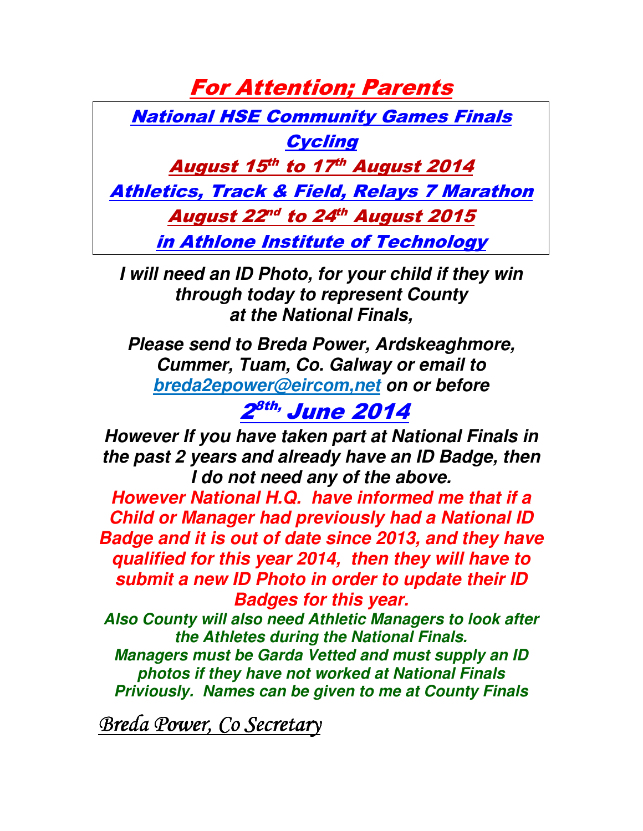For Attention; Parents

National HSE Community Games Finals

**Cycling** 

August 15th to 17th August 2014

Athletics, Track & Field, Relays 7 Marathon

August 22<sup>nd</sup> to 24<sup>th</sup> August 2015

in Athlone Institute of Technology

**I will need an ID Photo, for your child if they win through today to represent County at the National Finals,** 

**Please send to Breda Power, Ardskeaghmore, Cummer, Tuam, Co. Galway or email to breda2epower@eircom,net on or before** 

2<sup>8th,</sup> June 2014

**However If you have taken part at National Finals in the past 2 years and already have an ID Badge, then I do not need any of the above.** 

**However National H.Q. have informed me that if a Child or Manager had previously had a National ID Badge and it is out of date since 2013, and they have qualified for this year 2014, then they will have to submit a new ID Photo in order to update their ID Badges for this year.** 

**Also County will also need Athletic Managers to look after the Athletes during the National Finals.** 

**Managers must be Garda Vetted and must supply an ID photos if they have not worked at National Finals Priviously. Names can be given to me at County Finals** 

Breda Power, Co Secretary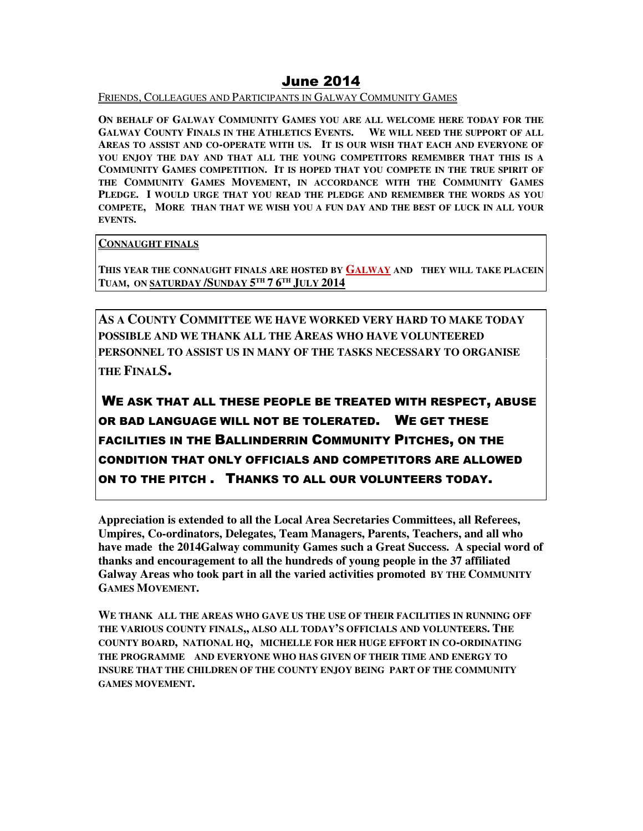## June 2014

FRIENDS, COLLEAGUES AND PARTICIPANTS IN GALWAY COMMUNITY GAMES

**ON BEHALF OF GALWAY COMMUNITY GAMES YOU ARE ALL WELCOME HERE TODAY FOR THE GALWAY COUNTY FINALS IN THE ATHLETICS EVENTS. WE WILL NEED THE SUPPORT OF ALL AREAS TO ASSIST AND CO-OPERATE WITH US. IT IS OUR WISH THAT EACH AND EVERYONE OF YOU ENJOY THE DAY AND THAT ALL THE YOUNG COMPETITORS REMEMBER THAT THIS IS A COMMUNITY GAMES COMPETITION. IT IS HOPED THAT YOU COMPETE IN THE TRUE SPIRIT OF THE COMMUNITY GAMES MOVEMENT, IN ACCORDANCE WITH THE COMMUNITY GAMES PLEDGE. I WOULD URGE THAT YOU READ THE PLEDGE AND REMEMBER THE WORDS AS YOU COMPETE, MORE THAN THAT WE WISH YOU A FUN DAY AND THE BEST OF LUCK IN ALL YOUR EVENTS.** 

**CONNAUGHT FINALS**

**THIS YEAR THE CONNAUGHT FINALS ARE HOSTED BY GALWAY AND THEY WILL TAKE PLACEIN TUAM, ON SATURDAY /SUNDAY 5 TH 7 6 TH JULY 2014**

**AS A COUNTY COMMITTEE WE HAVE WORKED VERY HARD TO MAKE TODAY POSSIBLE AND WE THANK ALL THE AREAS WHO HAVE VOLUNTEERED PERSONNEL TO ASSIST US IN MANY OF THE TASKS NECESSARY TO ORGANISE THE FINALS.** 

WE ASK THAT ALL THESE PEOPLE BE TREATED WITH RESPECT, ABUSE OR BAD LANGUAGE WILL NOT BE TOLERATED. WE GET THESE FACILITIES IN THE BALLINDERRIN COMMUNITY PITCHES, ON THE CONDITION THAT ONLY OFFICIALS AND COMPETITORS ARE ALLOWED ON TO THE PITCH . THANKS TO ALL OUR VOLUNTEERS TODAY.

**Appreciation is extended to all the Local Area Secretaries Committees, all Referees, Umpires, Co-ordinators, Delegates, Team Managers, Parents, Teachers, and all who have made the 2014Galway community Games such a Great Success. A special word of thanks and encouragement to all the hundreds of young people in the 37 affiliated Galway Areas who took part in all the varied activities promoted BY THE COMMUNITY GAMES MOVEMENT.**

**WE THANK ALL THE AREAS WHO GAVE US THE USE OF THEIR FACILITIES IN RUNNING OFF THE VARIOUS COUNTY FINALS,, ALSO ALL TODAY'S OFFICIALS AND VOLUNTEERS. THE COUNTY BOARD, NATIONAL HQ, MICHELLE FOR HER HUGE EFFORT IN CO-ORDINATING THE PROGRAMME AND EVERYONE WHO HAS GIVEN OF THEIR TIME AND ENERGY TO INSURE THAT THE CHILDREN OF THE COUNTY ENJOY BEING PART OF THE COMMUNITY GAMES MOVEMENT.**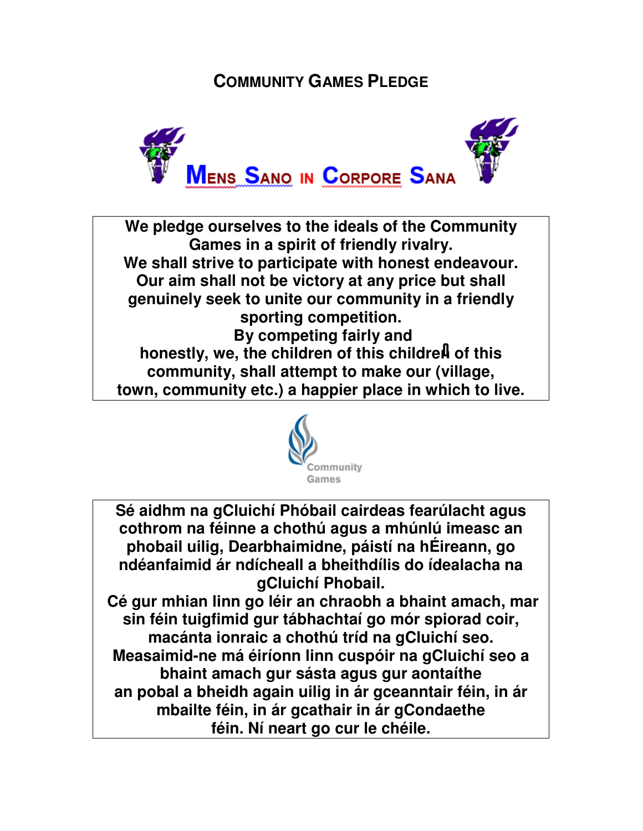## **COMMUNITY GAMES PLEDGE**



**We pledge ourselves to the ideals of the Community Games in a spirit of friendly rivalry. We shall strive to participate with honest endeavour. Our aim shall not be victory at any price but shall genuinely seek to unite our community in a friendly sporting competition. By competing fairly and**  honestly, we, the children of this children of this **community, shall attempt to make our (village, town, community etc.) a happier place in which to live.** 



**Sé aidhm na gCluichí Phóbail cairdeas fearúlacht agus cothrom na féinne a chothú agus a mhúnlú imeasc an phobail uilig, Dearbhaimidne, páistí na hÉireann, go ndéanfaimid ár ndícheall a bheithdílis do ídealacha na gCluichí Phobail.** 

 **Cé gur mhian linn go léir an chraobh a bhaint amach, mar sin féin tuigfimid gur tábhachtaí go mór spiorad coir, macánta ionraic a chothú tríd na gCluichí seo. Measaimid-ne má éiríonn linn cuspóir na gCluichí seo a bhaint amach gur sásta agus gur aontaíthe an pobal a bheidh again uilig in ár gceanntair féin, in ár mbailte féin, in ár gcathair in ár gCondaethe féin. Ní neart go cur le chéile.**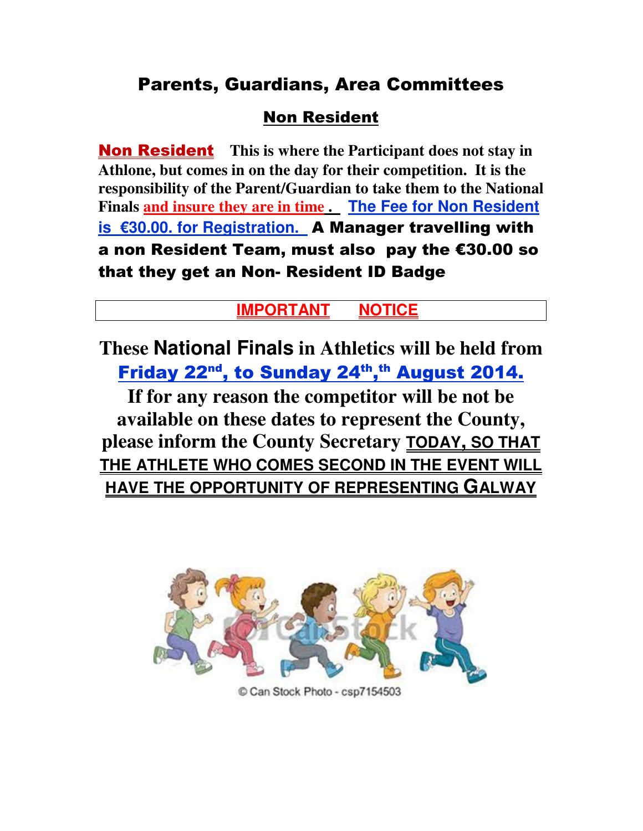## Parents, Guardians, Area Committees

## Non Resident

Non Resident **This is where the Participant does not stay in Athlone, but comes in on the day for their competition. It is the responsibility of the Parent/Guardian to take them to the National Finals and insure they are in time . The Fee for Non Resident is €30.00. for Registration.** A Manager travelling with a non Resident Team, must also pay the €30.00 so that they get an Non- Resident ID Badge

## **IMPORTANT NOTICE**

**These National Finals in Athletics will be held from**  Friday 22<sup>nd</sup>, to Sunday 24<sup>th</sup>,<sup>th</sup> August 2014.

**If for any reason the competitor will be not be available on these dates to represent the County, please inform the County Secretary TODAY, SO THAT THE ATHLETE WHO COMES SECOND IN THE EVENT WILL HAVE THE OPPORTUNITY OF REPRESENTING GALWAY**



Can Stock Photo - csp7154503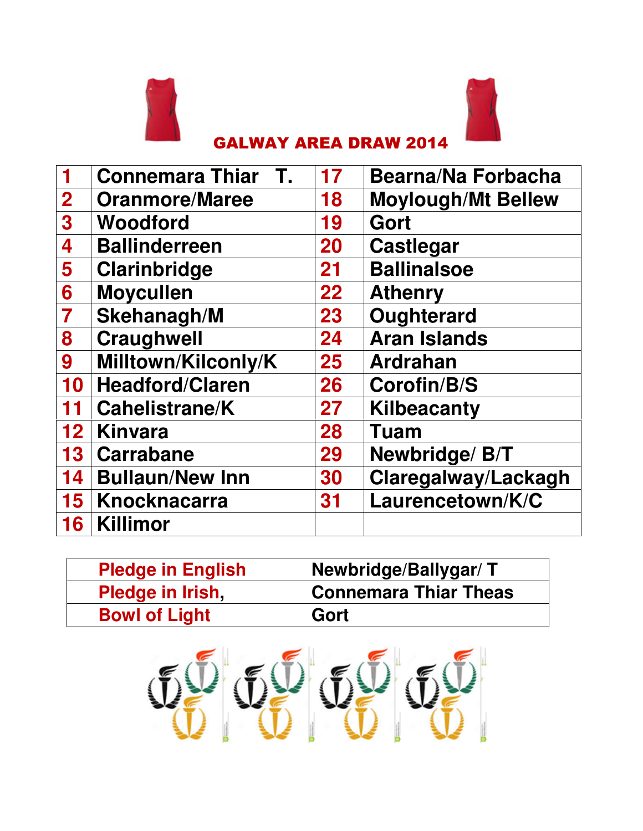



## GALWAY AREA DRAW 2014

|                         | <b>Connemara Thiar</b><br>$\mathbf{T}$ . | 17              | <b>Bearna/Na Forbacha</b> |
|-------------------------|------------------------------------------|-----------------|---------------------------|
| $\overline{2}$          | <b>Oranmore/Maree</b>                    | 18              | <b>Moylough/Mt Bellew</b> |
| $\overline{\mathbf{3}}$ | Woodford                                 | 19              | Gort                      |
| 4                       | <b>Ballinderreen</b>                     | 20              | <b>Castlegar</b>          |
| 5                       | <b>Clarinbridge</b>                      | 21              | <b>Ballinalsoe</b>        |
| 6                       | <b>Moycullen</b>                         | 22              | <b>Athenry</b>            |
| 7                       | <b>Skehanagh/M</b>                       | 23              | Oughterard                |
| 8                       | <b>Craughwell</b>                        | 24              | <b>Aran Islands</b>       |
| 9                       | Milltown/Kilconly/K                      | 25 <sub>2</sub> | <b>Ardrahan</b>           |
| 10                      | <b>Headford/Claren</b>                   | 26              | <b>Corofin/B/S</b>        |
| 11                      | <b>Cahelistrane/K</b>                    | 27              | <b>Kilbeacanty</b>        |
| 12 <sup>7</sup>         | <b>Kinvara</b>                           | 28              | <b>Tuam</b>               |
| 13 <sup>°</sup>         | <b>Carrabane</b>                         | 29              | Newbridge/ B/T            |
| 14 <sup>1</sup>         | <b>Bullaun/New Inn</b>                   | 30              | Claregalway/Lackagh       |
| 15 <sub>1</sub>         | Knocknacarra                             | 31              | Laurencetown/K/C          |
| 16                      | <b>Killimor</b>                          |                 |                           |

| <b>Pledge in English</b> | Newbridge/Ballygar/T         |
|--------------------------|------------------------------|
| Pledge in Irish          | <b>Connemara Thiar Theas</b> |
| <b>Bowl of Light</b>     | Gort                         |

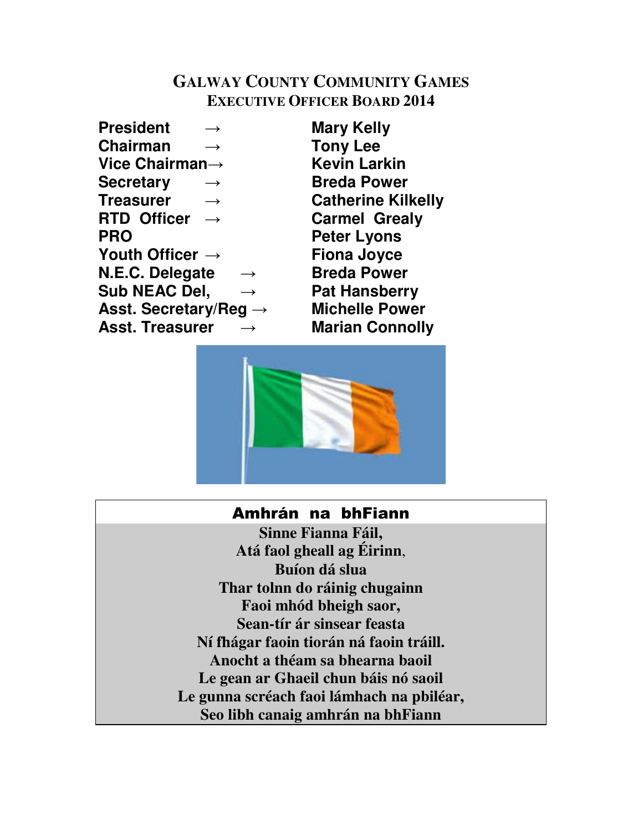## **GALWAY COUNTY COMMUNITY GAMES EXECUTIVE OFFICER BOARD 2014**

**President** → **Mary Kelly Chairman** → **Tony Lee Vice Chairman**→ **Kevin Larkin Secretary** → **Breda Power Treasurer** → **Catherine Kilkelly RTD Officer** → **Carmel Grealy PRO Peter Lyons Youth Officer** → **Fiona Joyce N.E.C. Delegate** → **Breda Power Sub NEAC Del,** → **Pat Hansberry Asst. Secretary/Reg** → **Michelle Power Asst. Treasurer** → **Marian Connolly** 



## Amhrán na bhFiann

**Sinne Fianna Fáil, Atá faol gheall ag Éirinn**, **Buíon dá slua Thar tolnn do ráinig chugainn Faoi mhód bheigh saor, Sean-tír ár sinsear feasta Ní fhágar faoin tiorán ná faoin tráill. Anocht a théam sa bhearna baoil Le gean ar Ghaeil chun báis nó saoil Le gunna scréach faoi lámhach na pbiléar, Seo libh canaig amhrán na bhFiann**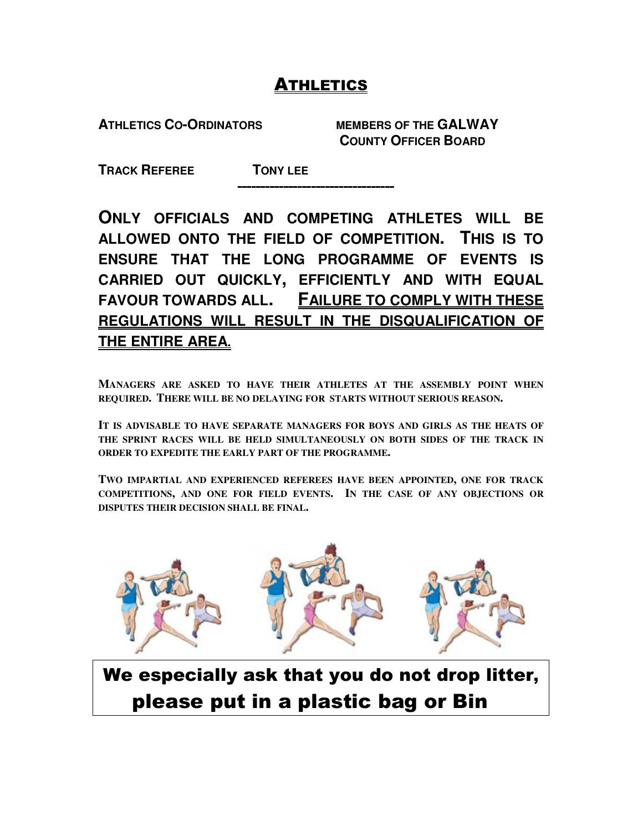## ATHLETICS

**ATHLETICS CO-ORDINATORS MEMBERS OF THE GALWAY** 

 **COUNTY OFFICER BOARD** 

**TRACK REFEREE TONY LEE** 

---------------------------------- ----------------------------------

**ONLY OFFICIALS AND COMPETING ATHLETES WILL BE ALLOWED ONTO THE FIELD OF COMPETITION. THIS IS TO ENSURE THAT THE LONG PROGRAMME OF EVENTS IS CARRIED OUT QUICKLY, EFFICIENTLY AND WITH EQUAL FAVOUR TOWARDS ALL. FAILURE TO COMPLY WITH THESE REGULATIONS WILL RESULT IN THE DISQUALIFICATION OF THE ENTIRE AREA.** 

**MANAGERS ARE ASKED TO HAVE THEIR ATHLETES AT THE ASSEMBLY POINT WHEN REQUIRED. THERE WILL BE NO DELAYING FOR STARTS WITHOUT SERIOUS REASON.** 

**IT IS ADVISABLE TO HAVE SEPARATE MANAGERS FOR BOYS AND GIRLS AS THE HEATS OF THE SPRINT RACES WILL BE HELD SIMULTANEOUSLY ON BOTH SIDES OF THE TRACK IN ORDER TO EXPEDITE THE EARLY PART OF THE PROGRAMME.** 

**TWO IMPARTIAL AND EXPERIENCED REFEREES HAVE BEEN APPOINTED, ONE FOR TRACK COMPETITIONS, AND ONE FOR FIELD EVENTS. IN THE CASE OF ANY OBJECTIONS OR DISPUTES THEIR DECISION SHALL BE FINAL.** 



We especially ask that you do not drop litter, please put in a plastic bag or Bin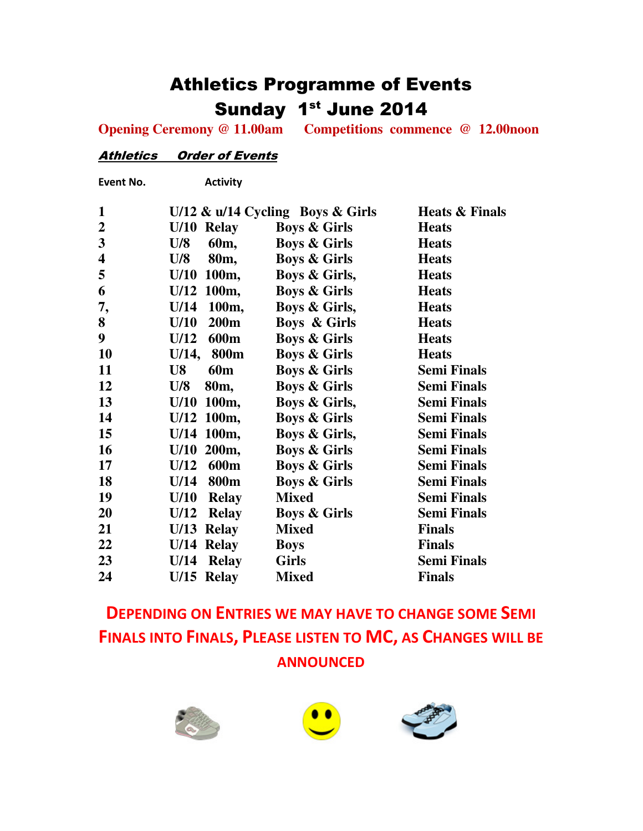## Athletics Programme of Events Sunday 1st June 2014

**Opening Ceremony @ 11.00am Competitions commence @ 12.00noon** 

#### Athletics Order of Events

Event No. Activity

| $\mathbf{1}$            |                              | U/12 & $u/14$ Cycling Boys & Girls | <b>Heats &amp; Finals</b> |
|-------------------------|------------------------------|------------------------------------|---------------------------|
| $\boldsymbol{2}$        | U/10 Relay                   | <b>Boys &amp; Girls</b>            | <b>Heats</b>              |
| $\mathbf{3}$            | U/8<br>60 <sub>m</sub>       | <b>Boys &amp; Girls</b>            | <b>Heats</b>              |
| $\overline{\mathbf{4}}$ | 80 <sub>m</sub><br>U/8       | <b>Boys &amp; Girls</b>            | <b>Heats</b>              |
| 5                       | 100m,<br>U/10                | Boys & Girls,                      | <b>Heats</b>              |
| 6                       | U/12 100m,                   | <b>Boys &amp; Girls</b>            | <b>Heats</b>              |
| 7,                      | 100m,<br>U/14                | Boys & Girls,                      | <b>Heats</b>              |
| 8                       | U/10<br><b>200m</b>          | <b>Boys &amp; Girls</b>            | <b>Heats</b>              |
| 9                       | 600 <sub>m</sub><br>U/12     | <b>Boys &amp; Girls</b>            | <b>Heats</b>              |
| 10                      | 800 <sub>m</sub><br>$U/14$ , | <b>Boys &amp; Girls</b>            | <b>Heats</b>              |
| 11                      | <b>60m</b><br>U8             | <b>Boys &amp; Girls</b>            | <b>Semi Finals</b>        |
| 12                      | U/8<br>80 <sub>m</sub>       | <b>Boys &amp; Girls</b>            | <b>Semi Finals</b>        |
| 13                      | 100m,<br>U/10                | Boys & Girls,                      | <b>Semi Finals</b>        |
| 14                      | $U/12$ 100m,                 | <b>Boys &amp; Girls</b>            | <b>Semi Finals</b>        |
| 15                      | $U/14$ 100m,                 | <b>Boys &amp; Girls,</b>           | <b>Semi Finals</b>        |
| 16                      | 200 <sub>m</sub><br>U/10     | <b>Boys &amp; Girls</b>            | <b>Semi Finals</b>        |
| 17                      | 600m<br>U/12                 | <b>Boys &amp; Girls</b>            | <b>Semi Finals</b>        |
| 18                      | U/14<br>800 <sub>m</sub>     | <b>Boys &amp; Girls</b>            | <b>Semi Finals</b>        |
| 19                      | U/10<br><b>Relay</b>         | <b>Mixed</b>                       | <b>Semi Finals</b>        |
| 20                      | U/12<br><b>Relay</b>         | <b>Boys &amp; Girls</b>            | <b>Semi Finals</b>        |
| 21                      | $U/13$ Relay                 | <b>Mixed</b>                       | <b>Finals</b>             |
| 22                      | U/14 Relay                   | <b>Boys</b>                        | <b>Finals</b>             |
| 23                      | $U/14$ Relay                 | <b>Girls</b>                       | <b>Semi Finals</b>        |
| 24                      | $U/15$ Relay                 | <b>Mixed</b>                       | <b>Finals</b>             |
|                         |                              |                                    |                           |

## DEPENDING ON ENTRIES WE MAY HAVE TO CHANGE SOME SEMI FINALS INTO FINALS, PLEASE LISTEN TO MC, AS CHANGES WILL BE ANNOUNCED





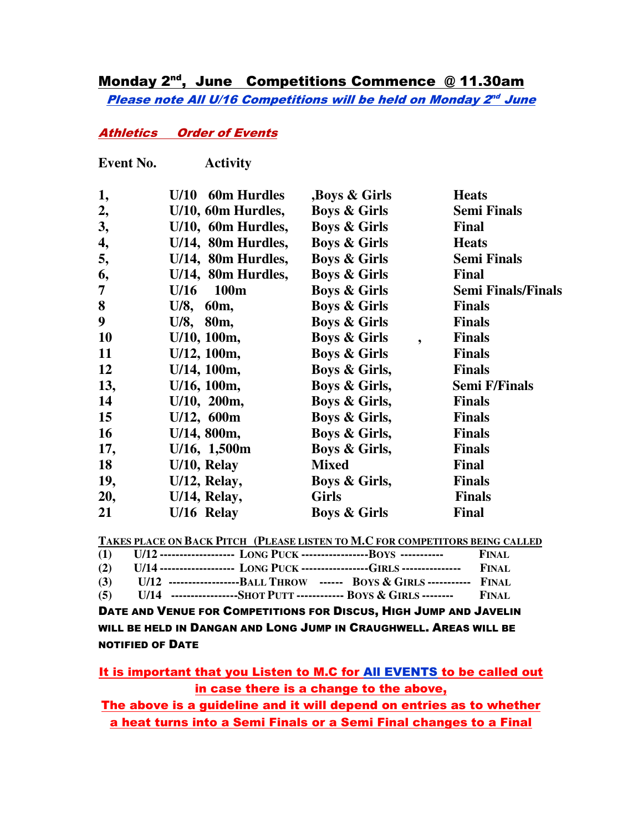## Monday 2<sup>nd</sup>, June Competitions Commence @ 11.30am Please note All U/16 Competitions will be held on Monday 2nd June

## Athletics Order of Events

| <b>Event No.</b> | <b>Activity</b>            |                                      |                           |
|------------------|----------------------------|--------------------------------------|---------------------------|
| 1,               | <b>60m Hurdles</b><br>U/10 | Boys & Girls                         | <b>Heats</b>              |
| 2,               | U/10, 60m Hurdles,         | <b>Boys &amp; Girls</b>              | <b>Semi Finals</b>        |
| 3,               | U/10, 60m Hurdles,         | <b>Boys &amp; Girls</b>              | <b>Final</b>              |
| 4,               | U/14, 80m Hurdles,         | <b>Boys &amp; Girls</b>              | <b>Heats</b>              |
| 5,               | U/14, 80m Hurdles,         | <b>Boys &amp; Girls</b>              | <b>Semi Finals</b>        |
| 6,               | U/14, 80m Hurdles,         | <b>Boys &amp; Girls</b>              | <b>Final</b>              |
| $\overline{7}$   | $U/16$ 100m                | <b>Boys &amp; Girls</b>              | <b>Semi Finals/Finals</b> |
| 8                | U/8, 60m,                  | <b>Boys &amp; Girls</b>              | <b>Finals</b>             |
| 9                | U/8, 80m,                  | <b>Boys &amp; Girls</b>              | <b>Finals</b>             |
| <b>10</b>        | U/10, 100m,                | <b>Boys &amp; Girls</b><br>$\bullet$ | <b>Finals</b>             |
| 11               | $U/12$ , 100m,             | <b>Boys &amp; Girls</b>              | <b>Finals</b>             |
| 12               | U/14, 100m,                | Boys & Girls,                        | <b>Finals</b>             |
| 13,              | U/16, 100m,                | Boys & Girls,                        | <b>Semi F/Finals</b>      |
| 14               | U/10, 200m,                | Boys & Girls,                        | <b>Finals</b>             |
| 15               | U/12, 600m                 | Boys & Girls,                        | <b>Finals</b>             |
| <b>16</b>        | $U/14$ , 800m,             | Boys & Girls,                        | <b>Finals</b>             |
| 17,              | $U/16$ , 1,500m            | Boys & Girls,                        | <b>Finals</b>             |
| <b>18</b>        | U/10, Relay                | <b>Mixed</b>                         | Final                     |
| 19,              | $U/12$ , Relay,            | Boys & Girls,                        | <b>Finals</b>             |
| 20,              | U/14, Relay,               | <b>Girls</b>                         | <b>Finals</b>             |
| 21               | U/16 Relay                 | <b>Boys &amp; Girls</b>              | <b>Final</b>              |

**TAKES PLACE ON BACK PITCH (PLEASE LISTEN TO M.C FOR COMPETITORS BEING CALLED**

|  |  | (1) $U/12$ ------------------- LONG PUCK ------------------BOYS ------------        | FINAL. |
|--|--|-------------------------------------------------------------------------------------|--------|
|  |  | (2) U/14 ------------------- LONG PUCK ----------------GIRLS ---------------- FINAL |        |
|  |  | (3) U/12 ----------------------BALL THROW ------ BOYS & GIRLS ------------ FINAL    |        |

**(5) U/14 -----------------SHOT PUTT ------------ BOYS & GIRLS -------- FINAL**

DATE AND VENUE FOR COMPETITIONS FOR DISCUS, HIGH JUMP AND JAVELIN WILL BE HELD IN DANGAN AND LONG JUMP IN CRAUGHWELL. AREAS WILL BE NOTIFIED OF DATE

It is important that you Listen to M.C for All EVENTS to be called out in case there is a change to the above,

The above is a guideline and it will depend on entries as to whether a heat turns into a Semi Finals or a Semi Final changes to a Final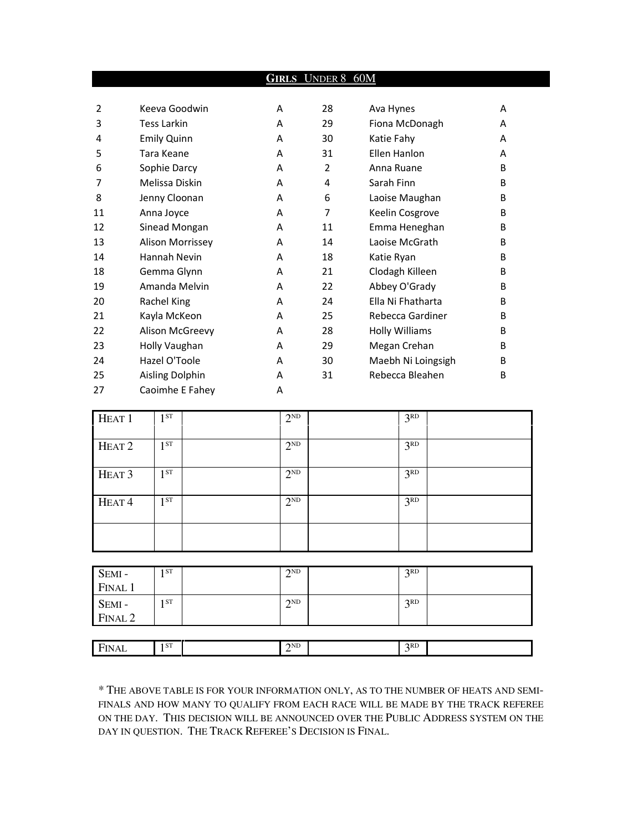|    |                    |   | <b>GIRLS UNDER 8 60M</b> |                       |   |
|----|--------------------|---|--------------------------|-----------------------|---|
|    |                    |   |                          |                       |   |
| 2  | Keeva Goodwin      | A | 28                       | Ava Hynes             | A |
| 3  | <b>Tess Larkin</b> | A | 29                       | Fiona McDonagh        | A |
| 4  | <b>Emily Quinn</b> | A | 30                       | Katie Fahy            | А |
| 5  | Tara Keane         | A | 31                       | Fllen Hanlon          | А |
| 6  | Sophie Darcy       | A | $\overline{2}$           | Anna Ruane            | B |
| 7  | Melissa Diskin     | A | 4                        | Sarah Finn            | B |
| 8  | Jenny Cloonan      | A | 6                        | Laoise Maughan        | B |
| 11 | Anna Joyce         | A | 7                        | Keelin Cosgrove       | B |
| 12 | Sinead Mongan      | A | 11                       | Emma Heneghan         | B |
| 13 | Alison Morrissey   | A | 14                       | Laoise McGrath        | B |
| 14 | Hannah Nevin       | A | 18                       | Katie Ryan            | B |
| 18 | Gemma Glynn        | A | 21                       | Clodagh Killeen       | B |
| 19 | Amanda Melvin      | A | 22                       | Abbey O'Grady         | B |
| 20 | Rachel King        | A | 24                       | Ella Ni Fhatharta     | B |
| 21 | Kayla McKeon       | A | 25                       | Rebecca Gardiner      | B |
| 22 | Alison McGreevy    | A | 28                       | <b>Holly Williams</b> | B |
| 23 | Holly Vaughan      | A | 29                       | Megan Crehan          | B |
| 24 | Hazel O'Toole      | A | 30                       | Maebh Ni Loingsigh    | B |
| 25 | Aisling Dolphin    | A | 31                       | Rebecca Bleahen       | B |
| 27 | Caoimhe E Fahey    | A |                          |                       |   |

| HEAT <sub>1</sub> | ST<br>٠         | $2^{ND}$ | 3 <sup>RD</sup> |  |
|-------------------|-----------------|----------|-----------------|--|
| HEAT <sub>2</sub> | 1 <sub>ST</sub> | $2^{ND}$ | 3 <sup>RD</sup> |  |
| HEAT <sub>3</sub> | 1 ST            | $2^{ND}$ | 3 <sup>RD</sup> |  |
| HEAT <sup>4</sup> | 1 ST            | $2^{ND}$ | 3 <sup>RD</sup> |  |
|                   |                 |          |                 |  |

| SEMI -<br>FINAL 1 | 1 ST | 2ND | 3RD |  |
|-------------------|------|-----|-----|--|
|                   |      |     |     |  |
| SEMI -<br>FINAL 2 | 1 ST | 2ND | 2RD |  |
|                   |      |     |     |  |
|                   |      |     |     |  |

| 'AL<br>the contract of the contract of the | I ST<br>- | $\gamma$ <sub>ND</sub> | 2RD |  |
|--------------------------------------------|-----------|------------------------|-----|--|
|                                            |           |                        |     |  |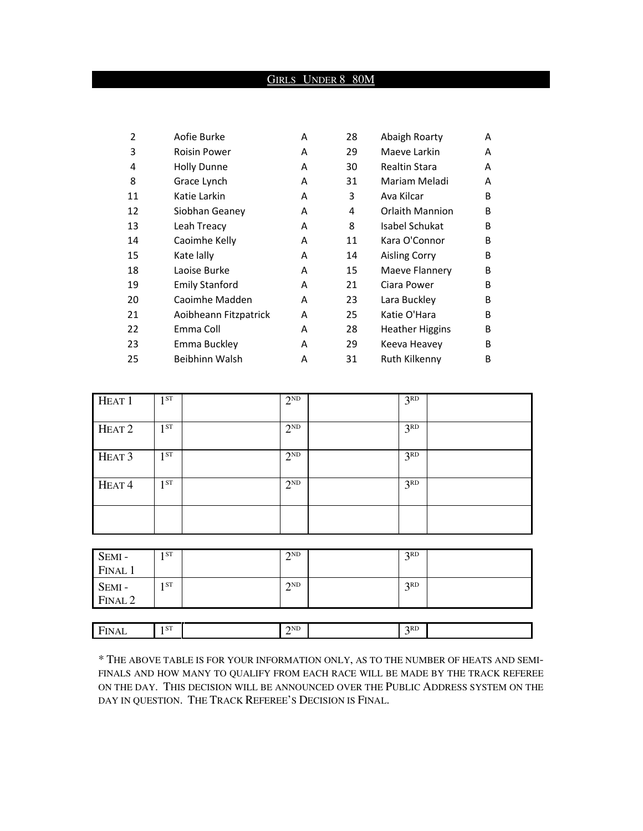## GIRLS UNDER 8 80M

| $\overline{2}$ | Aofie Burke           | A | 28 | Abaigh Roarty          | A |
|----------------|-----------------------|---|----|------------------------|---|
| 3              | <b>Roisin Power</b>   | A | 29 | Maeve Larkin           | A |
| 4              | <b>Holly Dunne</b>    | A | 30 | Realtin Stara          | A |
| 8              | Grace Lynch           | A | 31 | Mariam Meladi          | A |
| 11             | Katie Larkin          | A | 3  | Ava Kilcar             | B |
| 12             | Siobhan Geaney        | A | 4  | <b>Orlaith Mannion</b> | B |
| 13             | Leah Treacy           | A | 8  | Isabel Schukat         | B |
| 14             | Caoimhe Kelly         | A | 11 | Kara O'Connor          | B |
| 15             | Kate lally            | A | 14 | <b>Aisling Corry</b>   | B |
| 18             | Laoise Burke          | A | 15 | Maeve Flannery         | B |
| 19             | <b>Emily Stanford</b> | A | 21 | Ciara Power            | B |
| 20             | Caoimhe Madden        | A | 23 | Lara Buckley           | B |
| 21             | Aoibheann Fitzpatrick | A | 25 | Katie O'Hara           | B |
| 22             | Emma Coll             | A | 28 | <b>Heather Higgins</b> | B |
| 23             | Emma Buckley          | A | 29 | Keeva Heavey           | B |
| 25             | Beibhinn Walsh        | Α | 31 | Ruth Kilkenny          | B |

| HEAT <sub>1</sub> | 1 <sup>ST</sup> | $2^{ND}$ | 3 <sup>RD</sup> |  |
|-------------------|-----------------|----------|-----------------|--|
| HEAT <sub>2</sub> | 1 <sup>ST</sup> | $2^{ND}$ | 3 <sup>RD</sup> |  |
| HEAT <sub>3</sub> | 1ST             | $2^{ND}$ | 3 <sup>RD</sup> |  |
| HEAT <sup>4</sup> | 1 <sup>ST</sup> | $2^{ND}$ | 3 <sup>RD</sup> |  |
|                   |                 |          |                 |  |

| SEMI-<br>FINAL 1            | ST.             | 2ND      | 2RD             |  |
|-----------------------------|-----------------|----------|-----------------|--|
| SEMI-<br>FINAL <sub>2</sub> | ST <sub>1</sub> | 2ND<br>↩ | R <sub>CD</sub> |  |

| $\overline{\phantom{0}}$<br>. | $C$ <sup>T</sup><br>1 S L | 2ND | 2RD |  |
|-------------------------------|---------------------------|-----|-----|--|
| ∼<br>. .<br>-                 |                           | -   |     |  |
|                               |                           |     |     |  |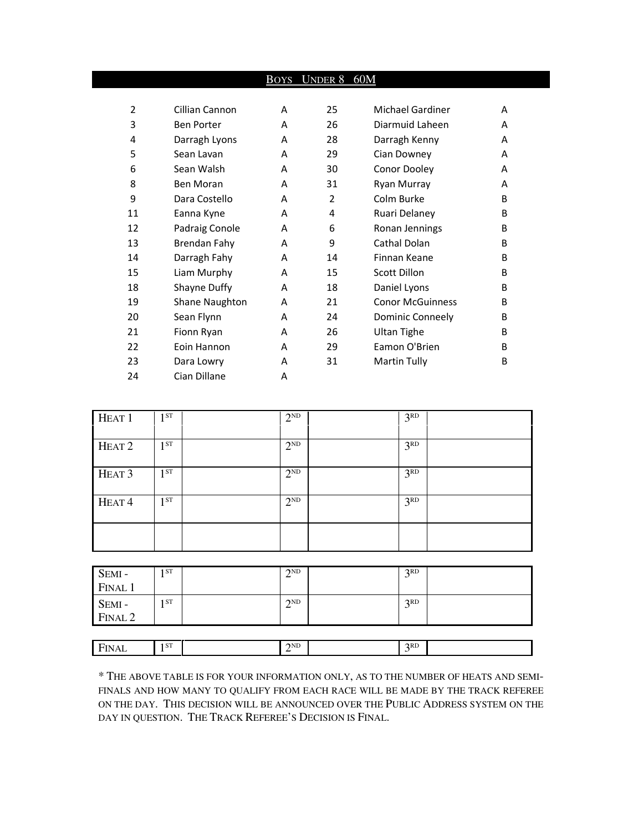|                |                   |   | BOYS UNDER 8 60M |                         |   |
|----------------|-------------------|---|------------------|-------------------------|---|
|                |                   |   |                  |                         |   |
| $\overline{2}$ | Cillian Cannon    | A | 25               | Michael Gardiner        | A |
| 3              | <b>Ben Porter</b> | A | 26               | Diarmuid Laheen         | A |
| 4              | Darragh Lyons     | A | 28               | Darragh Kenny           | A |
| 5              | Sean Lavan        | A | 29               | Cian Downey             | A |
| 6              | Sean Walsh        | A | 30               | Conor Dooley            | A |
| 8              | <b>Ben Moran</b>  | A | 31               | Ryan Murray             | A |
| 9              | Dara Costello     | A | $\overline{2}$   | Colm Burke              | B |
| 11             | Eanna Kyne        | A | 4                | Ruari Delaney           | B |
| 12             | Padraig Conole    | A | 6                | Ronan Jennings          | B |
| 13             | Brendan Fahy      | A | 9                | Cathal Dolan            | B |
| 14             | Darragh Fahy      | A | 14               | Finnan Keane            | B |
| 15             | Liam Murphy       | A | 15               | <b>Scott Dillon</b>     | B |
| 18             | Shayne Duffy      | A | 18               | Daniel Lyons            | B |
| 19             | Shane Naughton    | A | 21               | <b>Conor McGuinness</b> | B |
| 20             | Sean Flynn        | A | 24               | Dominic Conneely        | B |
| 21             | Fionn Ryan        | A | 26               | Ultan Tighe             | B |
| 22             | Eoin Hannon       | A | 29               | Eamon O'Brien           | B |
| 23             | Dara Lowry        | A | 31               | Martin Tully            | B |
| 24             | Cian Dillane      | A |                  |                         |   |

| HEAT <sub>1</sub> | 1 <sup>ST</sup> | $2^{ND}$ | 3 <sup>RD</sup> |  |
|-------------------|-----------------|----------|-----------------|--|
| HEAT <sub>2</sub> | 1 <sup>ST</sup> | $2^{ND}$ | 3 <sup>RD</sup> |  |
| HEAT <sub>3</sub> | 1 <sup>ST</sup> | $2^{ND}$ | 3 <sup>RD</sup> |  |
| HEAT <sup>4</sup> | $1^{ST}$        | $2^{ND}$ | 3 <sup>RD</sup> |  |
|                   |                 |          |                 |  |

| SEMI -<br>FINAL 1 | 1 ST | $\gamma$ <sub>ND</sub> | 2RD<br>◡ |  |
|-------------------|------|------------------------|----------|--|
|                   |      |                        |          |  |
|                   | 1 ST | 2ND                    | 2RD<br>◡ |  |
| SEMI-<br>FINAL 2  |      |                        |          |  |
|                   |      |                        |          |  |

| $\overline{\phantom{0}}$<br><b>AL</b> | 1 <sup>CT</sup><br>. | 2ND<br><b>__</b> | 2RD |  |
|---------------------------------------|----------------------|------------------|-----|--|
|                                       |                      |                  |     |  |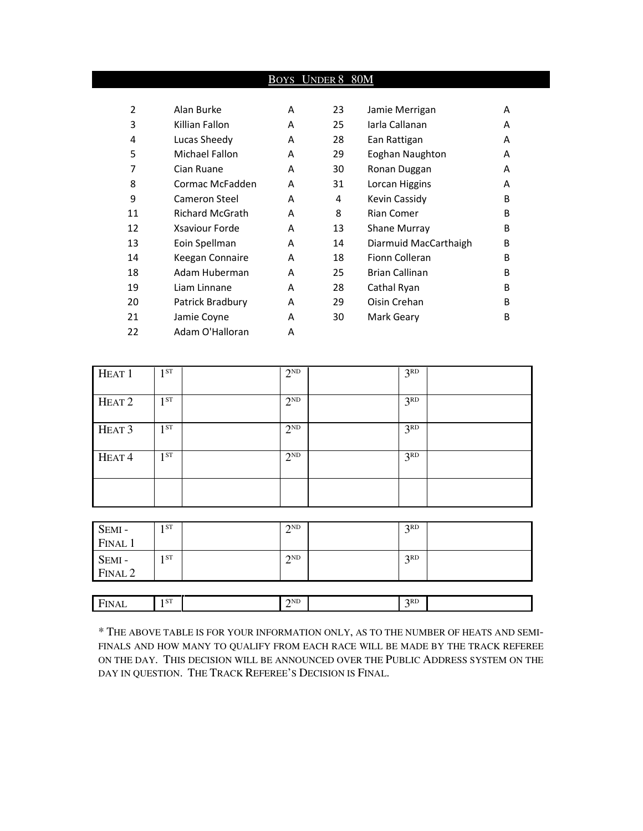|    |                        | Boys | UNDER 8 80M |                       |   |
|----|------------------------|------|-------------|-----------------------|---|
|    |                        |      |             |                       |   |
| 2  | Alan Burke             | A    | 23          | Jamie Merrigan        | A |
| 3  | Killian Fallon         | A    | 25          | Iarla Callanan        | A |
| 4  | Lucas Sheedy           | A    | 28          | Ean Rattigan          | A |
| 5  | Michael Fallon         | A    | 29          | Eoghan Naughton       | A |
| 7  | Cian Ruane             | A    | 30          | Ronan Duggan          | A |
| 8  | Cormac McFadden        | A    | 31          | Lorcan Higgins        | A |
| 9  | Cameron Steel          | A    | 4           | Kevin Cassidy         | B |
| 11 | <b>Richard McGrath</b> | A    | 8           | <b>Rian Comer</b>     | B |
| 12 | Xsaviour Forde         | A    | 13          | <b>Shane Murray</b>   | B |
| 13 | Eoin Spellman          | A    | 14          | Diarmuid MacCarthaigh | B |
| 14 | Keegan Connaire        | A    | 18          | <b>Fionn Colleran</b> | B |
| 18 | Adam Huberman          | A    | 25          | <b>Brian Callinan</b> | B |
| 19 | Liam Linnane           | A    | 28          | Cathal Ryan           | B |
| 20 | Patrick Bradbury       | A    | 29          | Oisin Crehan          | B |
| 21 | Jamie Coyne            | A    | 30          | Mark Geary            | B |
| 22 | Adam O'Halloran        | A    |             |                       |   |

| HEAT <sub>1</sub> | 1 <sub>ST</sub> | $2^{ND}$ | 3 <sup>RD</sup> |  |
|-------------------|-----------------|----------|-----------------|--|
| HEAT <sub>2</sub> | 1 <sub>ST</sub> | $2^{ND}$ | 3 <sup>RD</sup> |  |
| HEAT <sub>3</sub> | 1 <sub>ST</sub> | $2^{ND}$ | 3 <sup>RD</sup> |  |
| HEAT <sup>4</sup> | 1 <sub>ST</sub> | $2^{ND}$ | 3 <sup>RD</sup> |  |
|                   |                 |          |                 |  |

| SEMI-<br>FINAL 1  | 1 ST | $\gamma$ <sub>ND</sub> | 3 <sup>RD</sup> |  |
|-------------------|------|------------------------|-----------------|--|
| SEMI -<br>FINAL 2 | 1 ST | 2ND<br>∠               | 3 <sup>RD</sup> |  |
|                   |      |                        |                 |  |

 $2^{ND}$ 

FINAL 1<sup>ST</sup>

 $\mathbb{S}^{\mathsf{T}}$  2

| * THE ABOVE TABLE IS FOR YOUR INFORMATION ONLY, AS TO THE NUMBER OF HEATS AND SEMI- |
|-------------------------------------------------------------------------------------|
| FINALS AND HOW MANY TO OUALIFY FROM EACH RACE WILL BE MADE BY THE TRACK REFEREE     |
| ON THE DAY. THIS DECISION WILL BE ANNOUNCED OVER THE PUBLIC ADDRESS SYSTEM ON THE   |
| DAY IN QUESTION. THE TRACK REFEREE'S DECISION IS FINAL.                             |

 $3<sup>RD</sup>$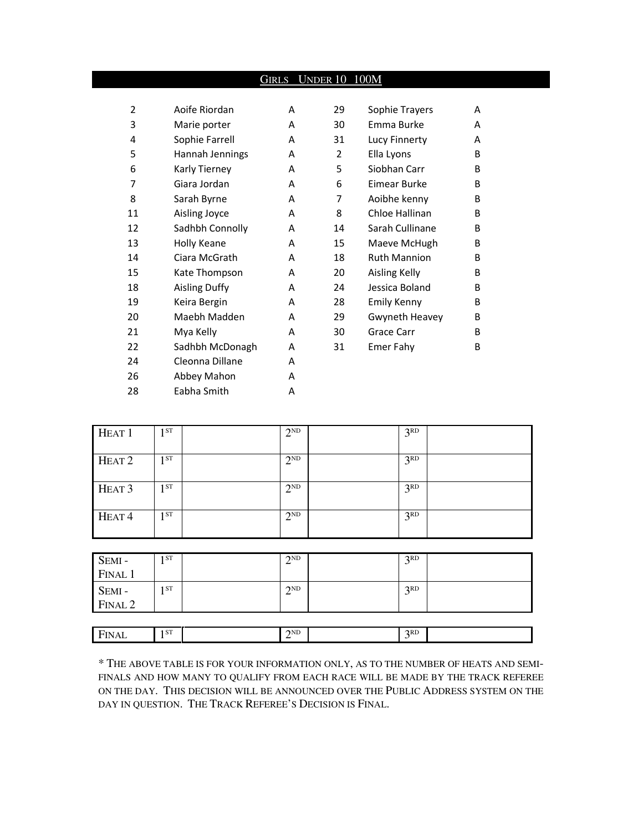|                |                      | Girls | <b>UNDER 10 100M</b> |                     |   |
|----------------|----------------------|-------|----------------------|---------------------|---|
|                |                      |       |                      |                     |   |
| $\overline{2}$ | Aoife Riordan        | A     | 29                   | Sophie Trayers      | A |
| 3              | Marie porter         | A     | 30                   | Emma Burke          | A |
| 4              | Sophie Farrell       | A     | 31                   | Lucy Finnerty       | A |
| 5              | Hannah Jennings      | A     | 2                    | Ella Lyons          | B |
| 6              | Karly Tierney        | A     | 5                    | Siobhan Carr        | B |
| 7              | Giara Jordan         | A     | 6                    | Eimear Burke        | B |
| 8              | Sarah Byrne          | A     | 7                    | Aoibhe kenny        | B |
| 11             | Aisling Joyce        | A     | 8                    | Chloe Hallinan      | B |
| 12             | Sadhbh Connolly      | A     | 14                   | Sarah Cullinane     | B |
| 13             | Holly Keane          | A     | 15                   | Maeve McHugh        | B |
| 14             | Ciara McGrath        | A     | 18                   | <b>Ruth Mannion</b> | B |
| 15             | Kate Thompson        | A     | 20                   | Aisling Kelly       | B |
| 18             | <b>Aisling Duffy</b> | A     | 24                   | Jessica Boland      | B |
| 19             | Keira Bergin         | A     | 28                   | <b>Emily Kenny</b>  | B |
| 20             | Maebh Madden         | A     | 29                   | Gwyneth Heavey      | B |
| 21             | Mya Kelly            | A     | 30                   | Grace Carr          | B |
| 22             | Sadhbh McDonagh      | A     | 31                   | Emer Fahy           | B |
| 24             | Cleonna Dillane      | A     |                      |                     |   |
| 26             | Abbey Mahon          | A     |                      |                     |   |
| 28             | Eabha Smith          | А     |                      |                     |   |

| HEAT <sub>1</sub> | 1ST  | $2^{ND}$ | 3 <sup>RD</sup> |  |
|-------------------|------|----------|-----------------|--|
| HEAT <sub>2</sub> | 1ST  | $2^{ND}$ | 3 <sup>RD</sup> |  |
| HEAT <sub>3</sub> | 1ST  | $2^{ND}$ | 3 <sup>RD</sup> |  |
| HEAT <sup>4</sup> | 1 ST | $2^{ND}$ | 3 <sup>RD</sup> |  |

| SEMI -<br>FINAL 1 | . ST | 2ND<br>∠        | 3RD |
|-------------------|------|-----------------|-----|
|                   |      |                 |     |
| SEMI -<br>FINAL 2 | I ST | 2 <sub>ND</sub> | 3RD |
|                   |      |                 |     |
|                   |      |                 |     |

| $\overline{\phantom{0}}$<br><br>the contract of the contract of the | CT<br>. | $\gamma$ ND<br>the control of the control of | 2RD |  |
|---------------------------------------------------------------------|---------|----------------------------------------------|-----|--|
|                                                                     |         |                                              |     |  |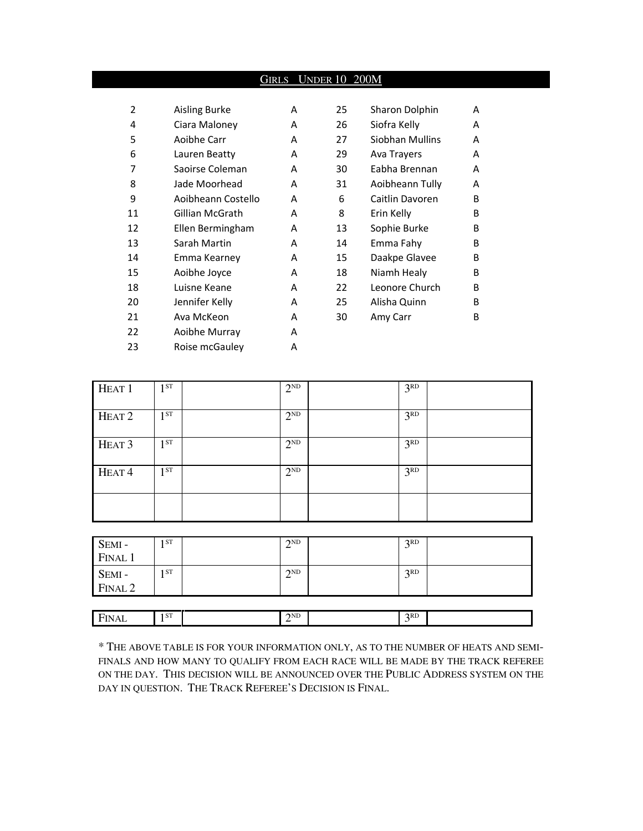## GIRLS UNDER 10 200M

| $\overline{2}$ | Aisling Burke      | A | 25 | Sharon Dolphin  | A |
|----------------|--------------------|---|----|-----------------|---|
| 4              | Ciara Maloney      | A | 26 | Siofra Kelly    | A |
| 5              | Aoibhe Carr        | A | 27 | Siobhan Mullins | A |
| 6              | Lauren Beatty      | A | 29 | Ava Trayers     | A |
| 7              | Saoirse Coleman    | A | 30 | Eabha Brennan   | A |
| 8              | Jade Moorhead      | A | 31 | Aoibheann Tully | A |
| 9              | Aoibheann Costello | A | 6  | Caitlin Davoren | B |
| 11             | Gillian McGrath    | A | 8  | Erin Kelly      | B |
| 12             | Ellen Bermingham   | A | 13 | Sophie Burke    | B |
| 13             | Sarah Martin       | A | 14 | Emma Fahy       | B |
| 14             | Emma Kearney       | A | 15 | Daakpe Glavee   | B |
| 15             | Aoibhe Joyce       | A | 18 | Niamh Healy     | B |
| 18             | Luisne Keane       | A | 22 | Leonore Church  | B |
| 20             | Jennifer Kelly     | A | 25 | Alisha Quinn    | B |
| 21             | Ava McKeon         | A | 30 | Amy Carr        | B |
| 22             | Aoibhe Murray      | A |    |                 |   |
| 23             | Roise mcGauley     | A |    |                 |   |

| 25 | Sharon Dolphin  | А |
|----|-----------------|---|
| 26 | Siofra Kelly    | А |
| 27 | Siobhan Mullins | А |
| 29 | Ava Trayers     | А |
| 30 | Eabha Brennan   | А |
| 31 | Aoibheann Tully | А |
| 6  | Caitlin Davoren | В |
| 8  | Erin Kelly      | в |
| 13 | Sophie Burke    | В |
| 14 | Emma Fahy       | в |
| 15 | Daakpe Glavee   | В |
| 18 | Niamh Healy     | В |
| 22 | Leonore Church  | В |
| 25 | Alisha Quinn    | в |
| 30 | Amy Carr        | в |
|    |                 |   |

| HEAT <sub>1</sub> | ST<br>٠   | $2^{ND}$ | 3 <sup>RD</sup> |  |
|-------------------|-----------|----------|-----------------|--|
| HEAT <sub>2</sub> | 1 ST      | $2^{ND}$ | 3 <sup>RD</sup> |  |
| HEAT <sub>3</sub> | ST<br>٠   | $2^{ND}$ | 3 <sup>RD</sup> |  |
| HEAT <sup>4</sup> | <b>ST</b> | $2^{ND}$ | 3 <sup>RD</sup> |  |
|                   |           |          |                 |  |

| SEMI -<br>FINAL 1 | I ST | 2ND                    | 2RD<br>◡ |  |
|-------------------|------|------------------------|----------|--|
| SEMI -<br>FINAL 2 | 1 ST | $\gamma$ <sub>ND</sub> | 2RD<br>◡ |  |

| $\blacksquare$<br>-1.777<br>.<br>-<br>┒∟<br>$   -$ | ST | 2ND<br>- | 2RD |  |
|----------------------------------------------------|----|----------|-----|--|
|                                                    |    |          |     |  |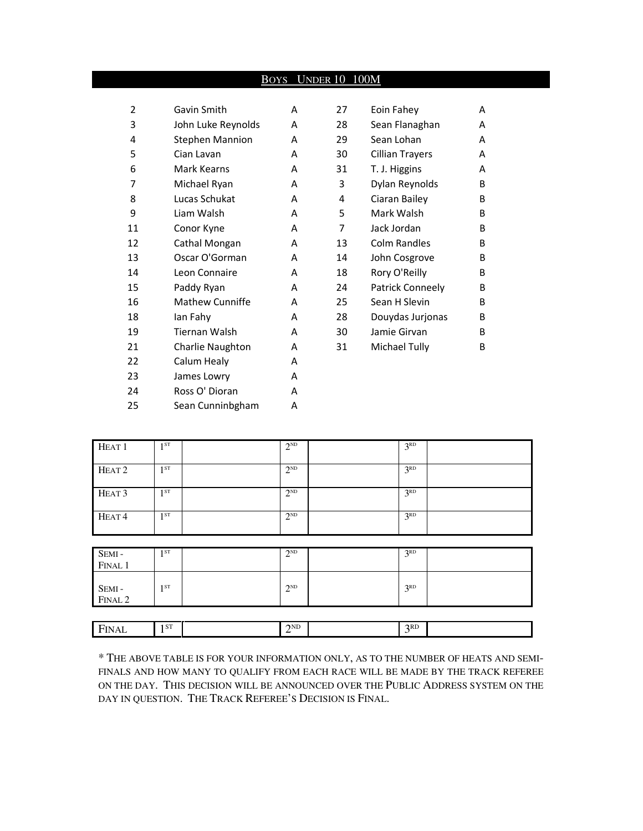## BOYS UNDER 10 100M

| 2  | Gavin Smith            | A | 27 | Eoin Fahey          | A |
|----|------------------------|---|----|---------------------|---|
| 3  | John Luke Reynolds     | A | 28 | Sean Flanaghan      | A |
| 4  | <b>Stephen Mannion</b> | A | 29 | Sean Lohan          | A |
| 5  | Cian Lavan             | A | 30 | Cillian Trayers     | A |
| 6  | Mark Kearns            | A | 31 | T. J. Higgins       | A |
| 7  | Michael Ryan           | A | 3  | Dylan Reynolds      | B |
| 8  | Lucas Schukat          | A | 4  | Ciaran Bailey       | B |
| 9  | Liam Walsh             | A | 5  | Mark Walsh          | B |
| 11 | Conor Kyne             | A | 7  | Jack Jordan         | B |
| 12 | Cathal Mongan          | A | 13 | <b>Colm Randles</b> | B |
| 13 | Oscar O'Gorman         | A | 14 | John Cosgrove       | B |
| 14 | Leon Connaire          | A | 18 | Rory O'Reilly       | B |
| 15 | Paddy Ryan             | A | 24 | Patrick Conneely    | B |
| 16 | <b>Mathew Cunniffe</b> | A | 25 | Sean H Slevin       | B |
| 18 | lan Fahy               | A | 28 | Douydas Jurjonas    | B |
| 19 | Tiernan Walsh          | A | 30 | Jamie Girvan        | B |
| 21 | Charlie Naughton       | A | 31 | Michael Tully       | B |
| 22 | Calum Healy            | A |    |                     |   |
| 23 | James Lowry            | A |    |                     |   |
| 24 | Ross O' Dioran         | A |    |                     |   |
| 25 | Sean Cunninbgham       | A |    |                     |   |

| HEAT <sub>1</sub> | 1 <sup>ST</sup> | $2^{ND}$ | 3 <sup>RD</sup> |
|-------------------|-----------------|----------|-----------------|
| HEAT <sub>2</sub> | 1 <sup>ST</sup> | $2^{ND}$ | 3 <sup>RD</sup> |
| HEAT <sub>3</sub> | 1 <sup>ST</sup> | $2^{ND}$ | 3 <sup>RD</sup> |
| HEAT <sup>4</sup> | $1^{ST}$        | $2^{ND}$ | 3 <sup>RD</sup> |
|                   |                 |          |                 |
| SEMI-<br>FINAL 1  | $1^{ST}$        | $2^{ND}$ | 3 <sup>RD</sup> |
| SEMI-<br>FINAL 2  | 1 <sup>ST</sup> | $2^{ND}$ | 3 <sup>RD</sup> |
|                   |                 |          |                 |
| FINAL             | 1 <sub>ST</sub> | $2^{ND}$ | 3 <sup>RD</sup> |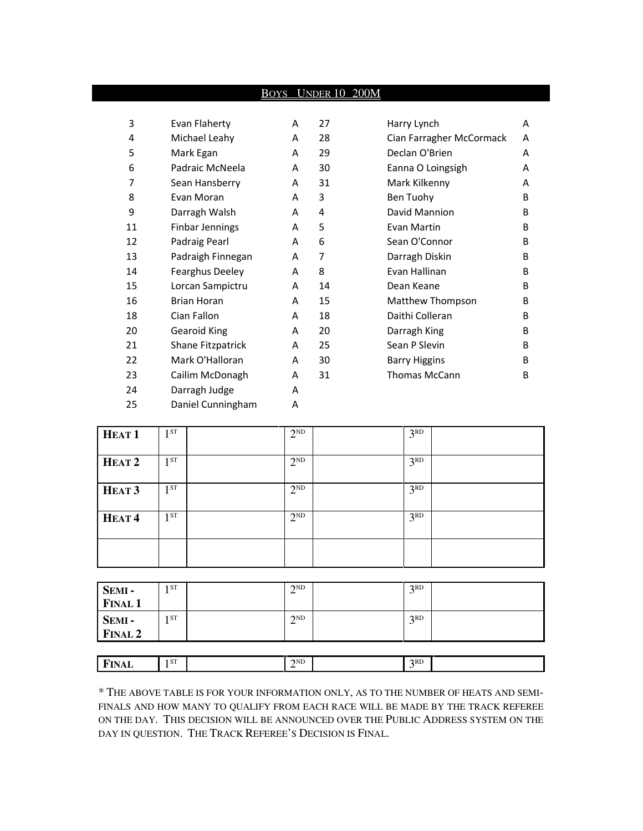|    |                        | <u>Boys</u> | <b>UNDER 10 200M</b> |                          |   |
|----|------------------------|-------------|----------------------|--------------------------|---|
|    |                        |             |                      |                          |   |
| 3  | Evan Flaherty          | A           | 27                   | Harry Lynch              | A |
| 4  | Michael Leahy          | A           | 28                   | Cian Farragher McCormack | A |
| 5  | Mark Egan              | A           | 29                   | Declan O'Brien           | A |
| 6  | Padraic McNeela        | A           | 30                   | Eanna O Loingsigh        | A |
| 7  | Sean Hansberry         | A           | 31                   | Mark Kilkenny            | A |
| 8  | Evan Moran             | A           | 3                    | Ben Tuohy                | B |
| 9  | Darragh Walsh          | A           | 4                    | David Mannion            | B |
| 11 | <b>Finbar Jennings</b> | A           | 5                    | Evan Martin              | B |
| 12 | Padraig Pearl          | A           | 6                    | Sean O'Connor            | B |
| 13 | Padraigh Finnegan      | A           | $\overline{7}$       | Darragh Diskin           | B |
| 14 | Fearghus Deeley        | A           | 8                    | Evan Hallinan            | B |
| 15 | Lorcan Sampictru       | A           | 14                   | Dean Keane               | B |
| 16 | <b>Brian Horan</b>     | A           | 15                   | Matthew Thompson         | B |
| 18 | Cian Fallon            | A           | 18                   | Daithi Colleran          | B |
| 20 | <b>Gearoid King</b>    | A           | 20                   | Darragh King             | B |
| 21 | Shane Fitzpatrick      | A           | 25                   | Sean P Slevin            | B |
| 22 | Mark O'Halloran        | A           | 30                   | <b>Barry Higgins</b>     | B |
| 23 | Cailim McDonagh        | A           | 31                   | <b>Thomas McCann</b>     | B |
| 24 | Darragh Judge          | A           |                      |                          |   |
| 25 | Daniel Cunningham      | A           |                      |                          |   |

| HEAT <sub>1</sub> | 1ST      | $2^{ND}$ | 3 <sup>RD</sup> |  |
|-------------------|----------|----------|-----------------|--|
| HEAT <sub>2</sub> | 1ST      | $2^{ND}$ | 3 <sup>RD</sup> |  |
| HEAT <sub>3</sub> | $1^{ST}$ | $2^{ND}$ | 3 <sup>RD</sup> |  |
| HEAT <sup>4</sup> | 1 ST     | $2^{ND}$ | 3 <sup>RD</sup> |  |
|                   |          |          |                 |  |

| SEMI -<br>FINAL 1       | 1 ST | 2 <sub>ND</sub><br>∠ | 2RD<br>J |  |
|-------------------------|------|----------------------|----------|--|
|                         |      |                      |          |  |
| <b>SEMI-</b><br>FINAL 2 | 1 ST | 2ND<br>∠             | 2RD<br>ر |  |
|                         |      |                      |          |  |

**FINAL** 1<sup>ST</sup>  $2^{ND}$  $3<sup>RD</sup>$ \* THE ABOVE TABLE IS FOR YOUR INFORMATION ONLY, AS TO THE NUMBER OF HEATS AND SEMI-

FINALS AND HOW MANY TO QUALIFY FROM EACH RACE WILL BE MADE BY THE TRACK REFEREE ON THE DAY. THIS DECISION WILL BE ANNOUNCED OVER THE PUBLIC ADDRESS SYSTEM ON THE DAY IN QUESTION. THE TRACK REFEREE'S DECISION IS FINAL.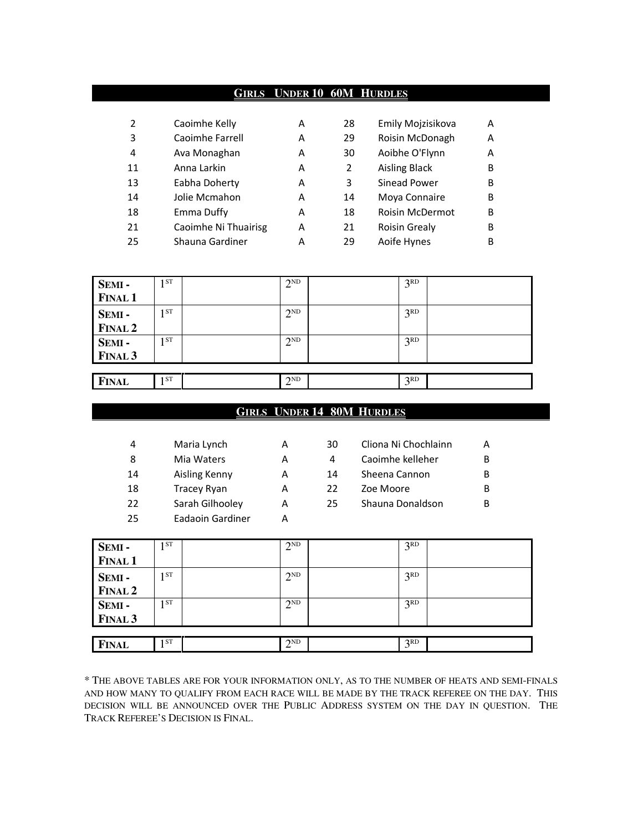#### **GIRLS UNDER 10 60M HURDLES**

| $\overline{2}$ | Caoimhe Kelly        | А | 28 | Emily Mojzisikova      | А |
|----------------|----------------------|---|----|------------------------|---|
| 3              | Caoimhe Farrell      | А | 29 | Roisin McDonagh        | А |
| 4              | Ava Monaghan         | А | 30 | Aoibhe O'Flynn         | А |
| 11             | Anna Larkin          | А | 2  | <b>Aisling Black</b>   | B |
| 13             | Eabha Doherty        | А | 3  | Sinead Power           | B |
| 14             | Jolie Mcmahon        | А | 14 | Moya Connaire          | B |
| 18             | Emma Duffy           | А | 18 | <b>Roisin McDermot</b> | B |
| 21             | Caoimhe Ni Thuairisg | А | 21 | <b>Roisin Grealy</b>   | B |
| 25             | Shauna Gardiner      | А | 29 | Aoife Hynes            | B |

| SEMI-              | 1ST             | $2^{ND}$ | 3 <sup>RD</sup> |  |
|--------------------|-----------------|----------|-----------------|--|
| <b>FINAL 1</b>     |                 |          |                 |  |
| SEMI-              | 1 <sub>ST</sub> | $2^{ND}$ | 2RD             |  |
| <b>FINAL 2</b>     |                 |          |                 |  |
| SEMI-              | 1ST             | $2^{ND}$ | 3 <sup>RD</sup> |  |
| FINAL <sub>3</sub> |                 |          |                 |  |
|                    |                 |          |                 |  |
| <b>FINAL</b>       | 1 ST            | $2^{ND}$ | 3 <sup>RD</sup> |  |

## **GIRLS UNDER 14 80M HURDLES**

| 4  | Maria Lynch      | А |
|----|------------------|---|
| 8  | Mia Waters       | А |
| 14 | Aisling Kenny    | А |
| 18 | Tracey Ryan      | А |
| 22 | Sarah Gilhooley  | А |
| 25 | Eadaoin Gardiner |   |

| Cliona Ni Chochlainn<br>A |
|---------------------------|
| B                         |
| B                         |
| B                         |
| Shauna Donaldson<br>B     |
|                           |

| SEMI-              | 1 ST<br>ı. | $2^{ND}$ | 3 <sup>RD</sup> |  |
|--------------------|------------|----------|-----------------|--|
| <b>FINAL 1</b>     |            |          |                 |  |
| SEMI-              | 1 ST       | $2^{ND}$ | 3 <sup>RD</sup> |  |
| <b>FINAL 2</b>     |            |          |                 |  |
| SEMI-              | 1 ST<br>ı. | $2^{ND}$ | 3 <sup>RD</sup> |  |
| FINAL <sub>3</sub> |            |          |                 |  |
|                    |            |          |                 |  |
| <b>FINAL</b>       | $1^{ST}$   | $2^{ND}$ | 3 <sup>RD</sup> |  |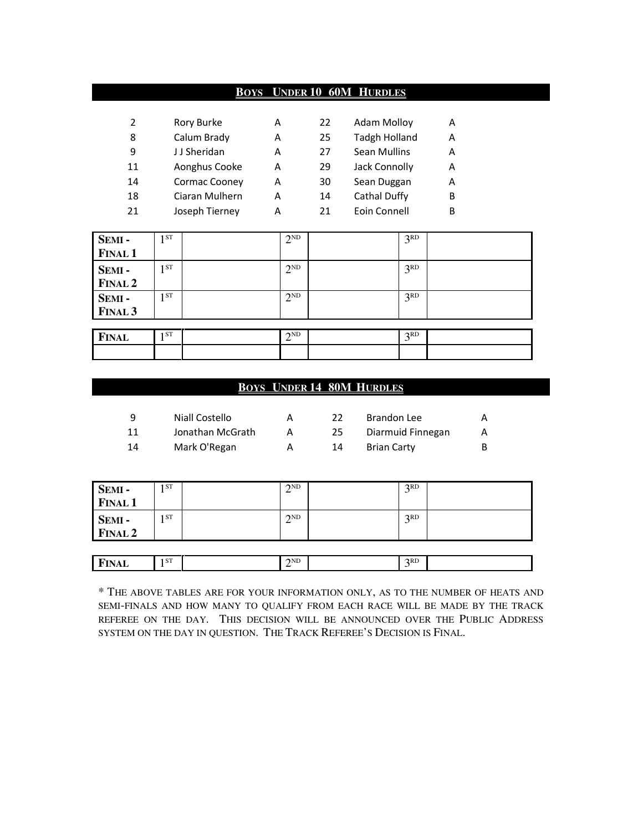## **BOYS UNDER 10 60M HURDLES**

| 2  | Rory Burke     | А | 22 | <b>Adam Molloy</b>   | А |
|----|----------------|---|----|----------------------|---|
| 8  | Calum Brady    | А | 25 | <b>Tadgh Holland</b> | А |
| 9  | JJ Sheridan    | A | 27 | <b>Sean Mullins</b>  | A |
| 11 | Aonghus Cooke  | А | 29 | Jack Connolly        | А |
| 14 | Cormac Cooney  | А | 30 | Sean Duggan          | А |
| 18 | Ciaran Mulhern | A | 14 | Cathal Duffy         | B |
| 21 | Joseph Tierney | А | 21 | Eoin Connell         | B |

| SEMI-          | ST              | $2^{ND}$ | 3 <sup>RD</sup> |  |
|----------------|-----------------|----------|-----------------|--|
| <b>FINAL 1</b> |                 |          |                 |  |
| SEMI-          | 1 ST            | $2^{ND}$ | 3 <sup>RD</sup> |  |
| FINAL 2        |                 |          |                 |  |
| SEMI-          | 1 <sub>ST</sub> | $2^{ND}$ | 3 <sup>RD</sup> |  |
| <b>FINAL 3</b> |                 |          |                 |  |
|                |                 |          |                 |  |
| <b>FINAL</b>   | ST              | $2^{ND}$ | 3 <sup>RD</sup> |  |
|                |                 |          |                 |  |

## **BOYS UNDER 14 80M HURDLES**

| q  | Niall Costello   |    | Brandon Lee        | A  |
|----|------------------|----|--------------------|----|
| 11 | Jonathan McGrath | 25 | Diarmuid Finnegan  | A  |
| 14 | Mark O'Regan     | 14 | <b>Brian Carty</b> | B. |

| SEMI-             | 1 ST | $2^{ND}$ | 2RD      |  |
|-------------------|------|----------|----------|--|
| <b>FINAL 1</b>    |      |          |          |  |
| SEMI -<br>FINAL 2 | 1 ST | $2^{ND}$ | 2RD      |  |
|                   |      |          |          |  |
| <b>FINAL</b>      | 1 ST | $2^{ND}$ | 2RD<br>J |  |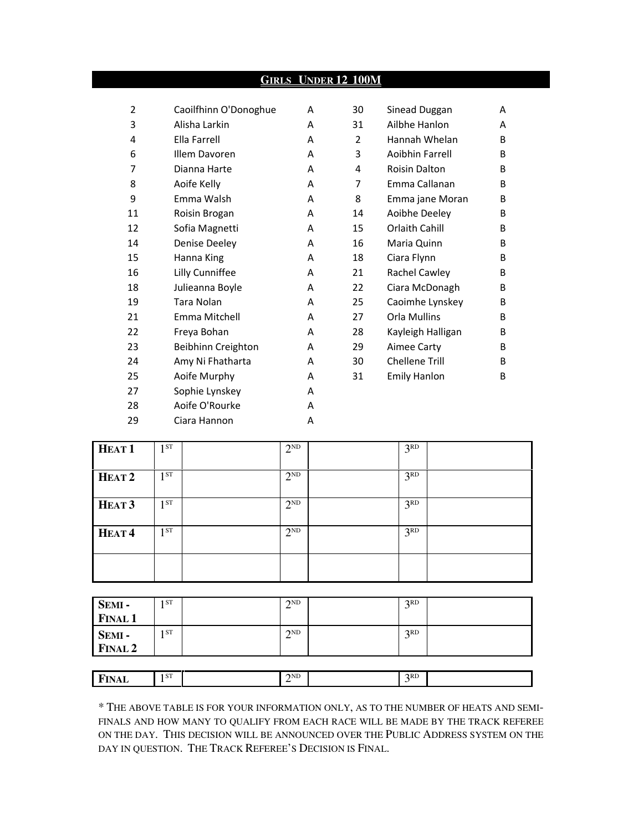## **GIRLS UNDER 12 100M**

| $\overline{2}$ | Caoilfhinn O'Donoghue | A | 30 | Sinead Duggan        | A |
|----------------|-----------------------|---|----|----------------------|---|
| 3              | Alisha Larkin         | A | 31 | Ailbhe Hanlon        | A |
| 4              | Ella Farrell          | A | 2  | Hannah Whelan        | B |
| 6              | Illem Davoren         | A | 3  | Aoibhin Farrell      | B |
| 7              | Dianna Harte          | A | 4  | <b>Roisin Dalton</b> | B |
| 8              | Aoife Kelly           | A | 7  | Emma Callanan        | B |
| 9              | Emma Walsh            | A | 8  | Emma jane Moran      | B |
| 11             | Roisin Brogan         | A | 14 | Aoibhe Deeley        | B |
| 12             | Sofia Magnetti        | A | 15 | Orlaith Cahill       | B |
| 14             | Denise Deeley         | A | 16 | Maria Quinn          | B |
| 15             | Hanna King            | A | 18 | Ciara Flynn          | B |
| 16             | Lilly Cunniffee       | A | 21 | Rachel Cawley        | B |
| 18             | Julieanna Boyle       | A | 22 | Ciara McDonagh       | B |
| 19             | <b>Tara Nolan</b>     | A | 25 | Caoimhe Lynskey      | B |
| 21             | Emma Mitchell         | A | 27 | Orla Mullins         | B |
| 22             | Freya Bohan           | A | 28 | Kayleigh Halligan    | B |
| 23             | Beibhinn Creighton    | A | 29 | Aimee Carty          | B |
| 24             | Amy Ni Fhatharta      | A | 30 | Chellene Trill       | B |
| 25             | Aoife Murphy          | A | 31 | <b>Emily Hanlon</b>  | B |
| 27             | Sophie Lynskey        | A |    |                      |   |
| 28             | Aoife O'Rourke        | A |    |                      |   |
| 29             | Ciara Hannon          | A |    |                      |   |
|                |                       |   |    |                      |   |

| HEAT <sub>1</sub> | 1 <sub>ST</sub> | $2^{ND}$ | 3 <sup>RD</sup> |  |
|-------------------|-----------------|----------|-----------------|--|
| HEAT <sub>2</sub> | $1^{ST}$        | $2^{ND}$ | 3 <sup>RD</sup> |  |
| HEAT <sub>3</sub> | 1ST             | $2^{ND}$ | 3 <sup>RD</sup> |  |
| HEAT <sup>4</sup> | 1ST             | $2^{ND}$ | 3 <sup>RD</sup> |  |
|                   |                 |          |                 |  |

| SEMI -<br>FINAL 1        | 1 ST | 2ND | 2RD |  |
|--------------------------|------|-----|-----|--|
| <b>SEMI -</b><br>FINAL 2 | 1 ST | 2ND | 2RD |  |

| ш<br>в<br>.<br>. | 1 ST | 2ND<br>- | 2RD |  |
|------------------|------|----------|-----|--|
|                  |      |          |     |  |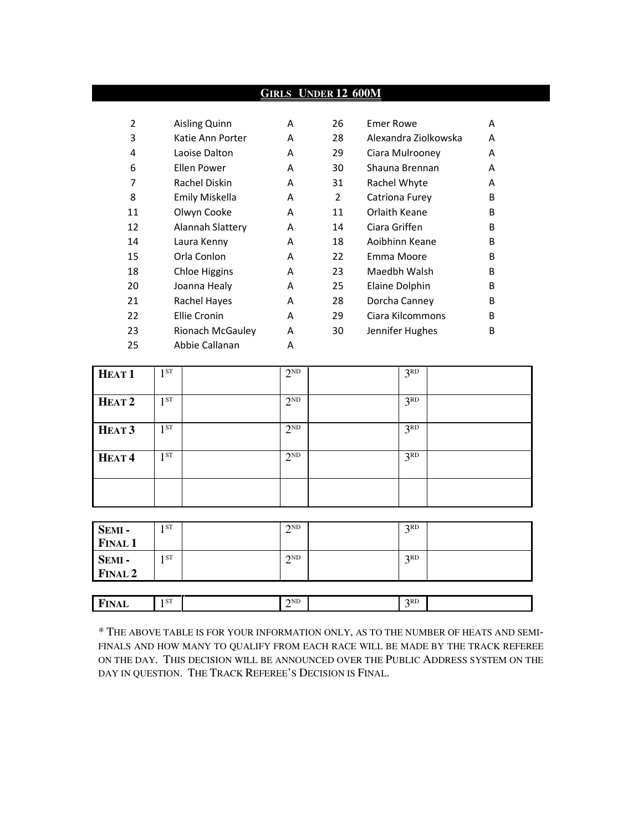## **GIRLS UNDER 12 600M**

| $\overline{2}$ | Aisling Quinn    | A | 26             | <b>Emer Rowe</b>     | A            |
|----------------|------------------|---|----------------|----------------------|--------------|
| 3              | Katie Ann Porter | A | 28             | Alexandra Ziolkowska | A            |
| 4              | Laoise Dalton    | A | 29             | Ciara Mulrooney      | A            |
| 6              | Ellen Power      | A | 30             | Shauna Brennan       | A            |
| 7              | Rachel Diskin    | A | 31             | Rachel Whyte         | A            |
| 8              | Emily Miskella   | A | $\overline{2}$ | Catriona Furey       | B            |
| 11             | Olwyn Cooke      | A | 11             | Orlaith Keane        | <sub>B</sub> |
| 12             | Alannah Slattery | A | 14             | Ciara Griffen        | B            |
| 14             | Laura Kenny      | A | 18             | Aoibhinn Keane       | <sub>B</sub> |
| 15             | Orla Conlon      | A | 22             | Emma Moore           | <sub>B</sub> |
| 18             | Chloe Higgins    | A | 23             | Maedbh Walsh         | B            |
| 20             | Joanna Healy     | A | 25             | Elaine Dolphin       | B            |
| 21             | Rachel Hayes     | A | 28             | Dorcha Canney        | B            |
| 22             | Ellie Cronin     | A | 29             | Ciara Kilcommons     | B            |
| 23             | Rionach McGauley | A | 30             | Jennifer Hughes      | B            |
| 25             | Abbie Callanan   | A |                |                      |              |

| HEAT <sub>1</sub> | 1 <sup>ST</sup> | $2^{ND}$ | 3 <sup>RD</sup> |  |
|-------------------|-----------------|----------|-----------------|--|
| HEAT <sub>2</sub> | 1 <sup>ST</sup> | $2^{ND}$ | 3 <sup>RD</sup> |  |
| HEAT <sub>3</sub> | 1 <sup>ST</sup> | $2^{ND}$ | 3 <sup>RD</sup> |  |
| HEAT <sup>4</sup> | 1 <sup>ST</sup> | $2^{ND}$ | 3 <sup>RD</sup> |  |
|                   |                 |          |                 |  |

| <b>SEMI -</b><br>FINAL 1  | . ST | $\gamma$ <sub>ND</sub><br>∠ | 2RD<br>◡ |  |
|---------------------------|------|-----------------------------|----------|--|
|                           |      |                             |          |  |
|                           | . ST | 2ND<br>∠                    | 2RD      |  |
| <b>SEMI -<br/>FINAL 2</b> |      |                             |          |  |
|                           |      |                             |          |  |

 $\mathbb{S}^{\mathsf{T}}$  2

**FINAL** 1<sup>ST</sup>

| * THE ABOVE TABLE IS FOR YOUR INFORMATION ONLY, AS TO THE NUMBER OF HEATS AND SEMI- |
|-------------------------------------------------------------------------------------|
| FINALS AND HOW MANY TO QUALIFY FROM EACH RACE WILL BE MADE BY THE TRACK REFEREE     |
| ON THE DAY. THIS DECISION WILL BE ANNOUNCED OVER THE PUBLIC ADDRESS SYSTEM ON THE   |
| DAY IN OUESTION. THE TRACK REFEREE'S DECISION IS FINAL.                             |

 $\overline{3}$ 

 $3<sup>RD</sup>$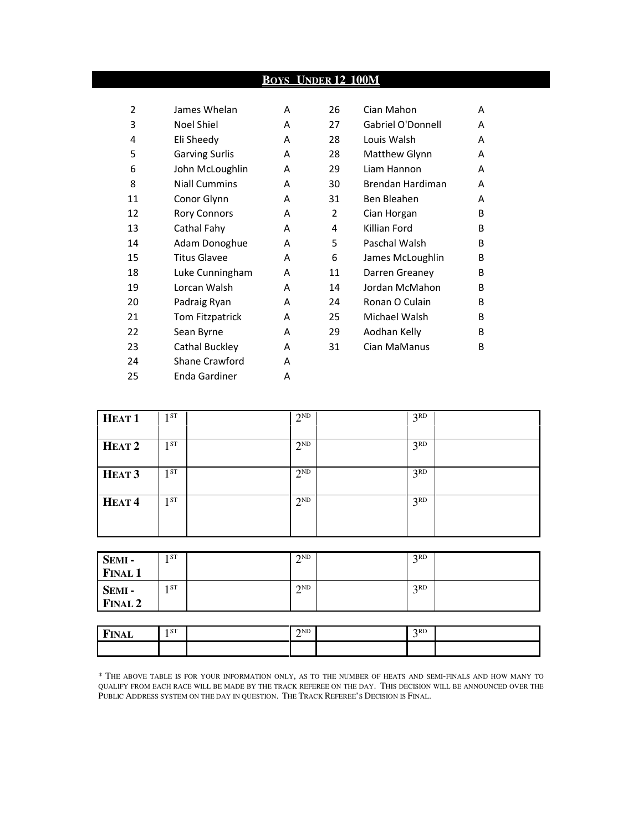|                |                       | BOYS | <b>UNDER 12 100M</b> |                   |   |
|----------------|-----------------------|------|----------------------|-------------------|---|
|                |                       |      |                      |                   |   |
| $\overline{2}$ | James Whelan          | A    | 26                   | Cian Mahon        | A |
| 3              | Noel Shiel            | A    | 27                   | Gabriel O'Donnell | A |
| 4              | Eli Sheedy            | A    | 28                   | Louis Walsh       | A |
| 5              | <b>Garving Surlis</b> | A    | 28                   | Matthew Glynn     | A |
| 6              | John McLoughlin       | A    | 29                   | Liam Hannon       | A |
| 8              | <b>Niall Cummins</b>  | A    | 30                   | Brendan Hardiman  | A |
| 11             | Conor Glynn           | A    | 31                   | Ben Bleahen       | A |
| 12             | <b>Rory Connors</b>   | A    | 2                    | Cian Horgan       | B |
| 13             | Cathal Fahy           | A    | 4                    | Killian Ford      | B |
| 14             | Adam Donoghue         | A    | 5                    | Paschal Walsh     | B |
| 15             | <b>Titus Glavee</b>   | A    | 6                    | James McLoughlin  | B |
| 18             | Luke Cunningham       | A    | 11                   | Darren Greaney    | B |
| 19             | Lorcan Walsh          | A    | 14                   | Jordan McMahon    | B |
| 20             | Padraig Ryan          | A    | 24                   | Ronan O Culain    | B |
| 21             | Tom Fitzpatrick       | A    | 25                   | Michael Walsh     | B |
| 22             | Sean Byrne            | A    | 29                   | Aodhan Kelly      | B |
| 23             | Cathal Buckley        | A    | 31                   | Cian MaManus      | B |
| 24             | <b>Shane Crawford</b> | A    |                      |                   |   |
| 25             | Enda Gardiner         | A    |                      |                   |   |

| HEAT <sub>1</sub> | $1^{ST}$ | $2^{ND}$ | 3 <sup>RD</sup> |  |
|-------------------|----------|----------|-----------------|--|
| HEAT <sub>2</sub> | 1 ST     | $2^{ND}$ | 3 <sup>RD</sup> |  |
| HEAT <sub>3</sub> | $1^{ST}$ | $2^{ND}$ | 3 <sup>RD</sup> |  |
| HEAT <sup>4</sup> | $1^{ST}$ | $2^{ND}$ | 3 <sup>RD</sup> |  |

| SEMI-<br><b>FINAL 1</b> | 1 ST | $\gamma$ <sub>ND</sub><br>↩ | 2RD            |  |
|-------------------------|------|-----------------------------|----------------|--|
| SEMI-<br><b>FINAL 2</b> | 1 ST | 2ND<br>∠                    | R <sub>2</sub> |  |

| <b>EINAI</b><br>YAL<br>. | 1 ST | $\gamma$ <sub>ND</sub> | 2RD |  |
|--------------------------|------|------------------------|-----|--|
|                          |      |                        |     |  |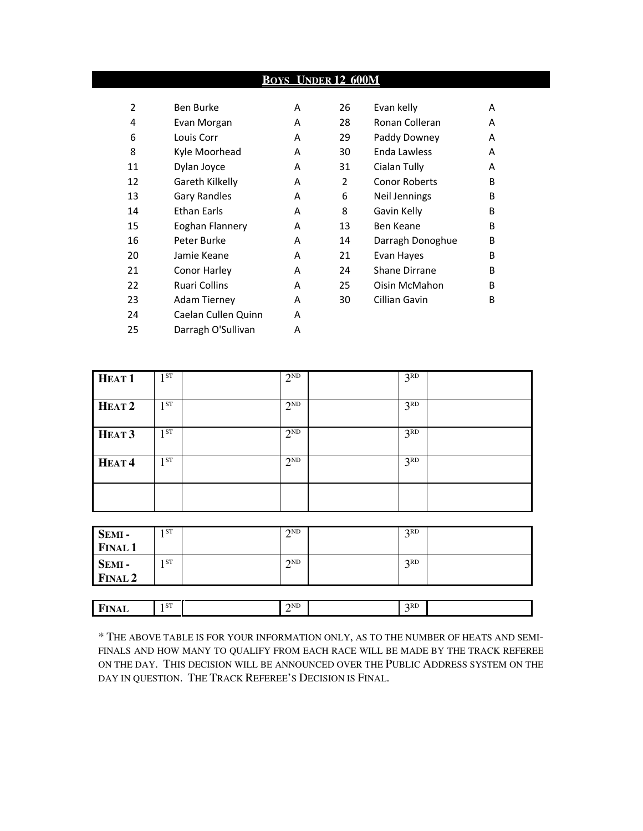## **BOYS UNDER 12 600M**

| 2  | Ben Burke            | A | 26             | Evan kelly           | A |
|----|----------------------|---|----------------|----------------------|---|
| 4  | Evan Morgan          | A | 28             | Ronan Colleran       | A |
| 6  | Louis Corr           | A | 29             | Paddy Downey         | A |
| 8  | Kyle Moorhead        | A | 30             | Enda Lawless         | A |
| 11 | Dylan Joyce          | A | 31             | Cialan Tully         | A |
| 12 | Gareth Kilkelly      | A | $\overline{2}$ | <b>Conor Roberts</b> | B |
| 13 | <b>Gary Randles</b>  | A | 6              | Neil Jennings        | B |
| 14 | <b>Ethan Earls</b>   | A | 8              | Gavin Kelly          | B |
| 15 | Eoghan Flannery      | A | 13             | Ben Keane            | B |
| 16 | Peter Burke          | A | 14             | Darragh Donoghue     | B |
| 20 | Jamie Keane          | A | 21             | Evan Hayes           | B |
| 21 | Conor Harley         | A | 24             | Shane Dirrane        | B |
| 22 | <b>Ruari Collins</b> | A | 25             | Oisin McMahon        | B |
| 23 | <b>Adam Tierney</b>  | A | 30             | Cillian Gavin        | B |
| 24 | Caelan Cullen Quinn  | A |                |                      |   |
| 25 | Darragh O'Sullivan   | A |                |                      |   |

| 26 | Evan kelly           | А |
|----|----------------------|---|
| 28 | Ronan Colleran       | А |
| 29 | Paddy Downey         | А |
| 30 | Enda Lawless         | А |
| 31 | Cialan Tully         | А |
| 2  | <b>Conor Roberts</b> | в |
| 6  | Neil Jennings        | в |
| 8  | Gavin Kelly          | в |
| 13 | Ben Keane            | в |
| 14 | Darragh Donoghue     | в |
| 21 | Evan Hayes           | В |
| 24 | Shane Dirrane        | В |
| 25 | Oisin McMahon        | в |
| 30 | Cillian Gavin        | в |
|    |                      |   |

| HEAT <sub>1</sub> | 1 <sub>ST</sub> | $2^{ND}$ | 3 <sup>RD</sup> |  |
|-------------------|-----------------|----------|-----------------|--|
| HEAT <sub>2</sub> | 1 <sub>ST</sub> | $2^{ND}$ | 3 <sup>RD</sup> |  |
| HEAT <sub>3</sub> | 1 <sub>ST</sub> | $2^{ND}$ | 3 <sup>RD</sup> |  |
| HEAT <sup>4</sup> | <b>ST</b><br>1  | $2^{ND}$ | 3 <sup>RD</sup> |  |
|                   |                 |          |                 |  |

| SEMI -<br>FINAL 1 | I ST | $\gamma$ <sub>ND</sub> | 2RD      |  |
|-------------------|------|------------------------|----------|--|
|                   |      |                        |          |  |
|                   | I ST | 2ND                    | 2RD<br>◡ |  |
| SEMI -<br>FINAL 2 |      |                        |          |  |
|                   |      |                        |          |  |

**FINAL**  $1^{ST}$   $2^{ND}$   $3^{RD}$ 

| * THE ABOVE TABLE IS FOR YOUR INFORMATION ONLY, AS TO THE NUMBER OF HEATS AND SEMI- |
|-------------------------------------------------------------------------------------|
| FINALS AND HOW MANY TO OUALIFY FROM EACH RACE WILL BE MADE BY THE TRACK REFEREE     |
| ON THE DAY. THIS DECISION WILL BE ANNOUNCED OVER THE PUBLIC ADDRESS SYSTEM ON THE   |
| DAY IN QUESTION. THE TRACK REFEREE'S DECISION IS FINAL.                             |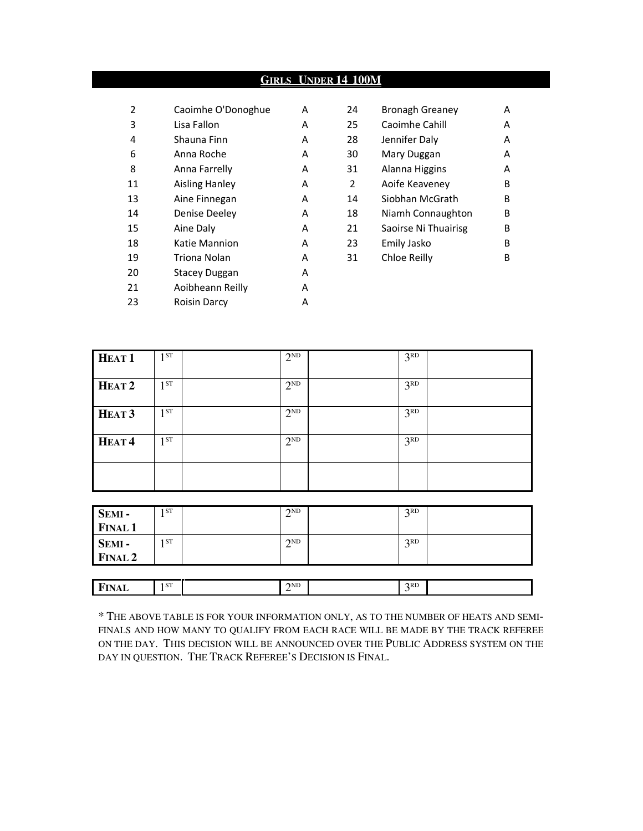## **GIRLS UNDER 14 100M**

| 2  | Caoimhe O'Donoghue    | A | 24 | <b>Bronagh Greaney</b> | A |
|----|-----------------------|---|----|------------------------|---|
| 3  | Lisa Fallon           | A | 25 | Caoimhe Cahill         | A |
| 4  | Shauna Finn           | A | 28 | Jennifer Daly          | A |
| 6  | Anna Roche            | A | 30 | Mary Duggan            | A |
| 8  | Anna Farrelly         | A | 31 | Alanna Higgins         | A |
| 11 | <b>Aisling Hanley</b> | A | 2  | Aoife Keaveney         | B |
| 13 | Aine Finnegan         | A | 14 | Siobhan McGrath        | B |
| 14 | Denise Deeley         | A | 18 | Niamh Connaughton      | B |
| 15 | Aine Daly             | A | 21 | Saoirse Ni Thuairisg   | B |
| 18 | Katie Mannion         | A | 23 | Emily Jasko            | B |
| 19 | Triona Nolan          | A | 31 | Chloe Reilly           | B |
| 20 | <b>Stacey Duggan</b>  | A |    |                        |   |
| 21 | Aoibheann Reilly      | A |    |                        |   |
| 23 | <b>Roisin Darcy</b>   | Α |    |                        |   |

| 24             | <b>Bronagh Greaney</b> | А |
|----------------|------------------------|---|
| 25             | Caoimhe Cahill         | А |
| 28             | Jennifer Daly          | А |
| 30             | Mary Duggan            | А |
| 31             | Alanna Higgins         | А |
| $\overline{2}$ | Aoife Keaveney         | в |
| 14             | Siobhan McGrath        | в |
| 18             | Niamh Connaughton      | в |
| 21             | Saoirse Ni Thuairisg   | в |
| 23             | Emily Jasko            | в |
| 31             | Chloe Reilly           | R |
|                |                        |   |

| HEAT <sub>1</sub> | 1 <sup>ST</sup> | $2^{ND}$        | 3 <sup>RD</sup> |  |
|-------------------|-----------------|-----------------|-----------------|--|
| HEAT <sub>2</sub> | $1^{ST}$        | $2^{\text{ND}}$ | 3 <sup>RD</sup> |  |
| HEAT <sub>3</sub> | 1 <sup>ST</sup> | $2^{ND}$        | 3 <sup>RD</sup> |  |
| HEAT <sup>4</sup> | $1^{ST}$        | $2^{ND}$        | 3 <sup>RD</sup> |  |
|                   |                 |                 |                 |  |

| SEMI-          | 1 ST | 2ND<br>∠                                    | 2RD<br>J |  |
|----------------|------|---------------------------------------------|----------|--|
| <b>FINAL 1</b> |      |                                             |          |  |
| SEMI-          | 1 ST | 2 <sub>ND</sub><br>$\overline{\phantom{a}}$ | 2RD<br>J |  |
| FINAL 2        |      |                                             |          |  |
|                |      |                                             |          |  |
| <b>FINAL</b>   | 1 ST | 2 <sub>ND</sub><br>∠                        | $3^{RD}$ |  |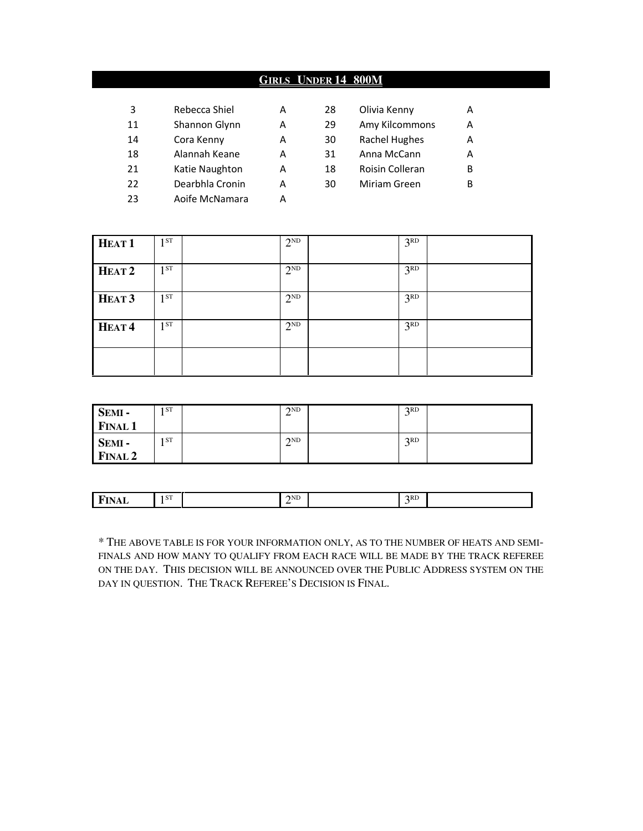## **GIRLS UNDER 14 800M**

| 3  | Rebecca Shiel   | Α | 28 | Olivia Kenny         | A |
|----|-----------------|---|----|----------------------|---|
| 11 | Shannon Glynn   | А | 29 | Amy Kilcommons       | А |
| 14 | Cora Kenny      | А | 30 | <b>Rachel Hughes</b> | A |
| 18 | Alannah Keane   | А | 31 | Anna McCann          | А |
| 21 | Katie Naughton  | А | 18 | Roisin Colleran      | в |
| 22 | Dearbhla Cronin | А | 30 | Miriam Green         | в |
| 23 | Aoife McNamara  | А |    |                      |   |

| HEAT <sub>1</sub> | 1 <sub>ST</sub> | $2^{ND}$ | 3 <sup>RD</sup> |  |
|-------------------|-----------------|----------|-----------------|--|
| HEAT <sub>2</sub> | 1 <sub>ST</sub> | $2^{ND}$ | 3 <sup>RD</sup> |  |
| HEAT <sub>3</sub> | 1 <sup>ST</sup> | $2^{ND}$ | 3 <sup>RD</sup> |  |
| HEAT <sup>4</sup> | 1ST             | $2^{ND}$ | 3 <sup>RD</sup> |  |
|                   |                 |          |                 |  |

| SEMI-<br><b>FINAL 1</b> | ST <sub>1</sub> | 2ND<br>∸ | 2RD      |  |
|-------------------------|-----------------|----------|----------|--|
| SEMI-<br>FINAL 2        | ST <sub>1</sub> | 2ND<br>∸ | 2RD<br>◡ |  |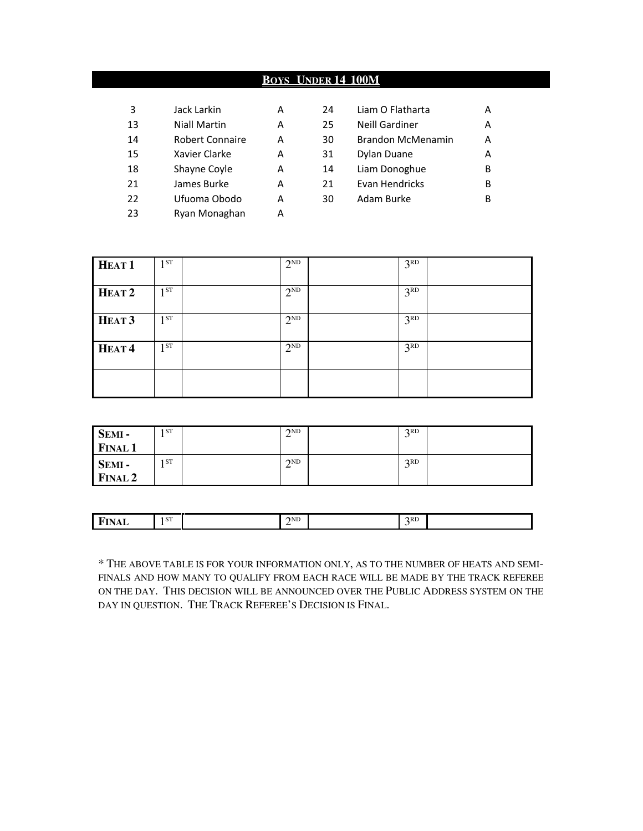## **BOYS UNDER 14 100M**

| 3  | Jack Larkin     | А |
|----|-----------------|---|
| 13 | Niall Martin    | А |
| 14 | Robert Connaire | А |
| 15 | Xavier Clarke   | А |
| 18 | Shayne Coyle    | А |
| 21 | James Burke     | А |
| 22 | Ufuoma Obodo    | А |
| 23 | Ryan Monaghan   | Δ |
|    |                 |   |

| 3  | Jack Larkin         | А | 24 | Liam O Flatharta         | А |
|----|---------------------|---|----|--------------------------|---|
| 13 | <b>Niall Martin</b> | А | 25 | <b>Neill Gardiner</b>    | А |
| 14 | Robert Connaire     | А | 30 | <b>Brandon McMenamin</b> | A |
| 15 | Xavier Clarke       | A | 31 | Dylan Duane              | A |
| 18 | Shayne Coyle        | А | 14 | Liam Donoghue            | B |
| 21 | James Burke         | А | 21 | Evan Hendricks           | B |
| 22 | Ufuoma Obodo        | А | 30 | Adam Burke               | В |
|    |                     |   |    |                          |   |

| HEAT <sub>1</sub> | 1ST      | $2^{ND}$ | 3 <sup>RD</sup> |  |
|-------------------|----------|----------|-----------------|--|
| HEAT <sub>2</sub> | 1ST      | $2^{ND}$ | 3 <sup>RD</sup> |  |
| HEAT <sub>3</sub> | 1ST      | $2^{ND}$ | 3 <sup>RD</sup> |  |
| HEAT <sup>4</sup> | $1^{ST}$ | $2^{ND}$ | 3 <sup>RD</sup> |  |
|                   |          |          |                 |  |

| SEMI-<br><b>FINAL 1</b> | 1 ST | $\gamma$ <sub>ND</sub> | 2RD<br>◡ |  |
|-------------------------|------|------------------------|----------|--|
| SEMI-<br><b>FINAL 2</b> | 1 ST | $\gamma$ <sub>ND</sub> | 2RD<br>ັ |  |

| <u>та</u><br>. н.<br>.<br>----- | 1 ST | $\gamma$ <sub>ND</sub><br>__ | 2RD |  |
|---------------------------------|------|------------------------------|-----|--|
|                                 |      |                              |     |  |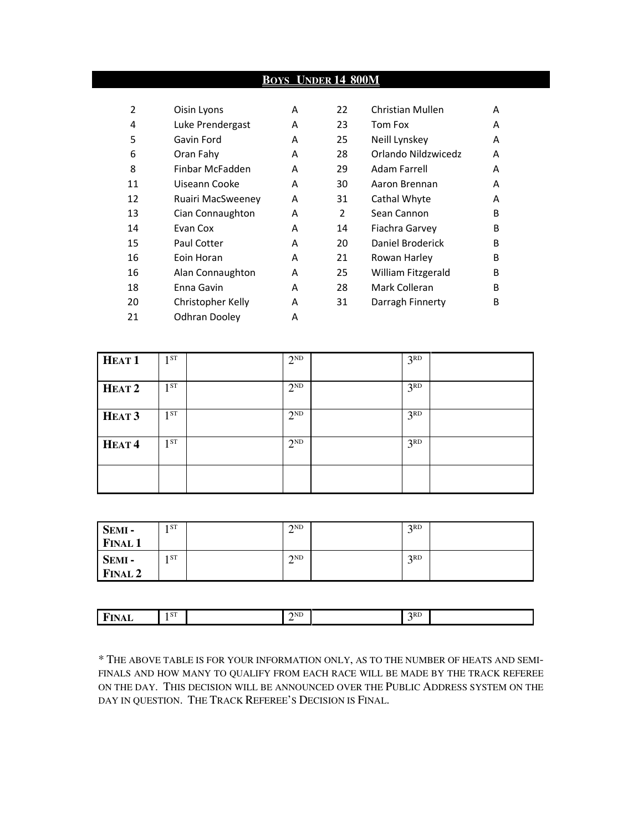## **BOYS UNDER 14 800M**

| 2  | Oisin Lyons       | A | 22 | <b>Christian Mullen</b> | А            |
|----|-------------------|---|----|-------------------------|--------------|
| 4  | Luke Prendergast  | A | 23 | Tom Fox                 | A            |
| 5  | Gavin Ford        | A | 25 | Neill Lynskey           | A            |
| 6  | Oran Fahy         | A | 28 | Orlando Nildzwicedz     | A            |
| 8  | Finbar McFadden   | A | 29 | Adam Farrell            | A            |
| 11 | Uiseann Cooke     | A | 30 | Aaron Brennan           | A            |
| 12 | Ruairi MacSweenev | A | 31 | Cathal Whyte            | A            |
| 13 | Cian Connaughton  | A | 2  | Sean Cannon             | B            |
| 14 | Evan Cox          | A | 14 | Fiachra Garvey          | B            |
| 15 | Paul Cotter       | A | 20 | Daniel Broderick        | B            |
| 16 | Eoin Horan        | A | 21 | Rowan Harley            | <sub>B</sub> |
| 16 | Alan Connaughton  | A | 25 | William Fitzgerald      | B            |
| 18 | Enna Gavin        | A | 28 | Mark Colleran           | B            |
| 20 | Christopher Kelly | A | 31 | Darragh Finnerty        | B            |
| 21 | Odhran Dooley     | A |    |                         |              |

| 22             | Christian Mullen    | А |
|----------------|---------------------|---|
| 23             | Tom Fox             | А |
| 25             | Neill Lynskey       | А |
| 28             | Orlando Nildzwicedz | А |
| 29             | Adam Farrell        | А |
| 30             | Aaron Brennan       | А |
| 31             | Cathal Whyte        | А |
| $\overline{2}$ | Sean Cannon         | в |
| 14             | Fiachra Garvey      | в |
| 20             | Daniel Broderick    | в |
| 21             | Rowan Harlev        | в |
| 25             | William Fitzgerald  | в |
| 28             | Mark Colleran       | в |
| 31             | Darragh Finnerty    | в |
|                |                     |   |

| HEAT <sub>1</sub> | 1ST<br>J. | $2^{ND}$ | 3 <sup>RD</sup> |  |
|-------------------|-----------|----------|-----------------|--|
| HEAT <sub>2</sub> | $1^{ST}$  | $2^{ND}$ | 3 <sup>RD</sup> |  |
| HEAT <sub>3</sub> | 1ST       | $2^{ND}$ | 3 <sup>RD</sup> |  |
| HEAT <sup>4</sup> | 1 ST      | $2^{ND}$ | 3 <sup>RD</sup> |  |
|                   |           |          |                 |  |

| <b>SEMI-</b>   | 1 ST | $\gamma$ <sub>ND</sub><br>↩ | 2RD<br>$\overline{\phantom{0}}$ |  |
|----------------|------|-----------------------------|---------------------------------|--|
| <b>FINAL 1</b> |      |                             |                                 |  |
| SEMI-          | 1 ST | $\gamma$ <sub>ND</sub><br>∸ | 2RD<br>ັ                        |  |
| <b>FINAL 2</b> |      |                             |                                 |  |

| 2RD<br>1 ST<br>IND<br>-------<br>-<br>----- |
|---------------------------------------------|
|---------------------------------------------|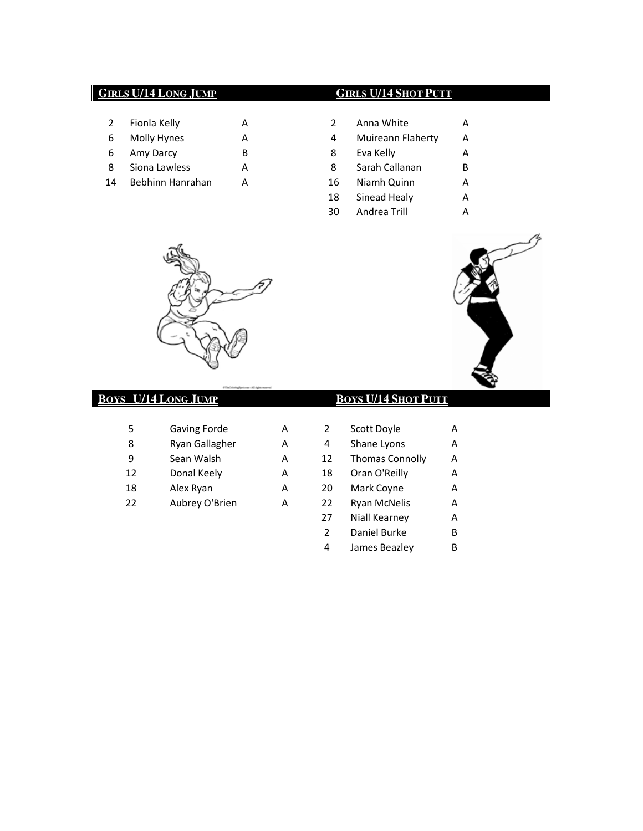## **GIRLS U/14 LONG JUMP GIRLS U/14 SHOT PUTT**

- 2 Fionla Kelly A
- 6 Molly Hynes A
- 6 Amy Darcy B
- 8 Siona Lawless A
- 14 Bebhinn Hanrahan A

|   | Fionla Kelly     | А |    | Anna White        | А |
|---|------------------|---|----|-------------------|---|
|   | Molly Hynes      | А | 4  | Muireann Flaherty | А |
|   | Amy Darcy        | В | 8  | Eva Kelly         | А |
|   | Siona Lawless    | А | 8  | Sarah Callanan    | В |
| 4 | Bebhinn Hanrahan | А | 16 | Niamh Quinn       | А |
|   |                  |   | 18 | Sinead Healy      | А |
|   |                  |   | 30 | Andrea Trill      |   |



## **BOYS U/14 LONG JUMP BOYS U/14 SHOT PUTT**

| 5  | Gaving Forde   | А |    | Scott Doyle            | А |
|----|----------------|---|----|------------------------|---|
| 8  | Ryan Gallagher | A | 4  | Shane Lyons            | A |
| q  | Sean Walsh     | А | 12 | <b>Thomas Connolly</b> | A |
| 12 | Donal Keely    | А | 18 | Oran O'Reilly          | A |
| 18 | Alex Ryan      | А | 20 | Mark Coyne             | А |
| 22 | Aubrey O'Brien | А | 22 | <b>Ryan McNelis</b>    | А |
|    |                |   |    |                        |   |



|   | Gaving Forde   | А | 2  | Scott Doyle            | A |
|---|----------------|---|----|------------------------|---|
|   | Ryan Gallagher | A | 4  | Shane Lyons            | A |
|   | Sean Walsh     | А | 12 | <b>Thomas Connolly</b> | А |
| 2 | Donal Keely    | А | 18 | Oran O'Reilly          | A |
| 8 | Alex Ryan      | А | 20 | Mark Coyne             | A |
| 2 | Aubrey O'Brien | А | 22 | <b>Ryan McNelis</b>    | A |
|   |                |   | 27 | Niall Kearney          | A |
|   |                |   | 2  | Daniel Burke           | B |
|   |                |   | 4  | James Beazley          | B |
|   |                |   |    |                        |   |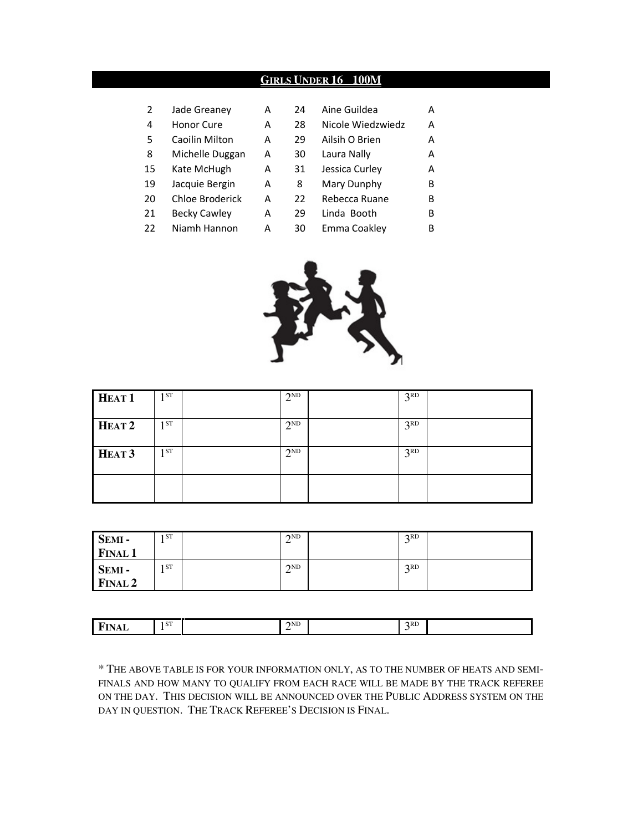#### **GIRLS UNDER 16 100M**

| 2  | Jade Greaney        | А | 24 | Aine Guildea      | А |
|----|---------------------|---|----|-------------------|---|
| 4  | Honor Cure          | A | 28 | Nicole Wiedzwiedz | A |
| 5  | Caoilin Milton      | A | 29 | Ailsih O Brien    | А |
| 8  | Michelle Duggan     | A | 30 | Laura Nally       | А |
| 15 | Kate McHugh         | A | 31 | Jessica Curley    | А |
| 19 | Jacquie Bergin      | A | 8  | Mary Dunphy       | B |
| 20 | Chloe Broderick     | А | 22 | Rebecca Ruane     | B |
| 21 | <b>Becky Cawley</b> | А | 29 | Linda Booth       | B |
| 22 | Niamh Hannon        | А | 30 | Emma Coakley      | B |



| HEAT <sub>1</sub> | 1ST  | $2^{ND}$ | 3 <sup>RD</sup> |  |
|-------------------|------|----------|-----------------|--|
| HEAT <sub>2</sub> | 1ST  | $2^{ND}$ | 3 <sup>RD</sup> |  |
| HEAT <sub>3</sub> | 1 ST | $2^{ND}$ | 3 <sup>RD</sup> |  |
|                   |      |          |                 |  |

| SEMI-<br><b>FINAL 1</b>     | I ST | $\gamma$ <sub>ND</sub> | 2RD<br>◡ |  |
|-----------------------------|------|------------------------|----------|--|
| SEMI-<br>FINAL <sub>2</sub> | 1ST  | $\gamma$ <sub>ND</sub> | 2RD<br>ັ |  |

| <u>т.</u><br>.<br>---- | $\epsilon$ on<br>1 S I | $\gamma$ <sub>ND</sub><br>- | 2RD |  |
|------------------------|------------------------|-----------------------------|-----|--|
|                        |                        |                             |     |  |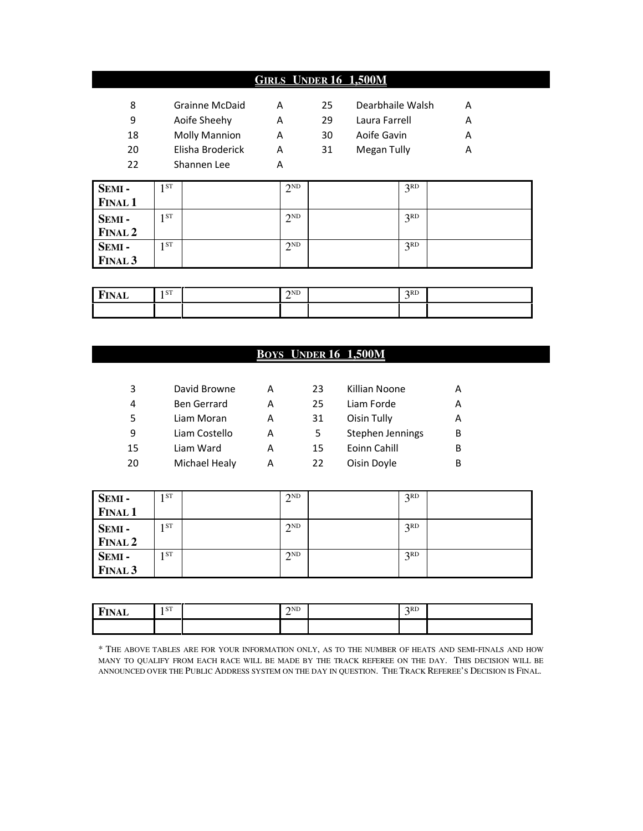## **GIRLS UNDER 16 1,500M**

| 8<br>9<br>18 | Grainne McDaid<br>Aoife Sheehy<br><b>Molly Mannion</b> | А<br>А<br>A | 25<br>29<br>30 | Dearbhaile Walsh<br>Laura Farrell<br>Aoife Gavin | А |
|--------------|--------------------------------------------------------|-------------|----------------|--------------------------------------------------|---|
| 20<br>22     | Elisha Broderick<br>Shannen Lee                        |             | 31             | Megan Tully                                      |   |
|              |                                                        |             |                |                                                  |   |

| <b>SEMI-</b>   | 1 ST | 2ND      | 3RD             |  |
|----------------|------|----------|-----------------|--|
| <b>FINAL 1</b> |      |          |                 |  |
| <b>SEMI-</b>   | 1 ST | 2ND      | 3 <sup>RD</sup> |  |
| <b>FINAL 2</b> |      |          |                 |  |
| <b>SEMI-</b>   | I ST | $2^{ND}$ | 3 <sup>RD</sup> |  |
| <b>FINAL 3</b> |      |          |                 |  |

| $T_{\text{max}}$<br>NAL | 1 ST | $\gamma$ <sub>ND</sub> | 2RD<br>ັ |  |
|-------------------------|------|------------------------|----------|--|
|                         |      |                        |          |  |

## **BOYS UNDER 16 1,500M**

| 3  | David Browne       | А | 23 | Killian Noone    | А |
|----|--------------------|---|----|------------------|---|
| 4  | <b>Ben Gerrard</b> | A | 25 | Liam Forde       | А |
| 5  | Liam Moran         | А | 31 | Oisin Tully      | А |
| 9  | Liam Costello      | А | 5  | Stephen Jennings | В |
| 15 | Liam Ward          | A | 15 | Eoinn Cahill     | B |
| 20 | Michael Healy      | А | 22 | Oisin Doyle      | B |
|    |                    |   |    |                  |   |

| SEMI-              | 1 ST | 2ND<br>$\overline{ }$ | 2RD |  |
|--------------------|------|-----------------------|-----|--|
| <b>FINAL 1</b>     |      |                       |     |  |
| SEMI-              | 1ST  | $2^{ND}$              | 3RD |  |
| FINAL <sub>2</sub> |      |                       |     |  |
| SEMI-              | 1 ST | $2^{ND}$              | 2RD |  |
| FINAL <sub>3</sub> |      |                       |     |  |

| <u>та.</u><br>д.<br>,,,,,, | 1 ST | 2 <sub>ND</sub> | 2RD |  |
|----------------------------|------|-----------------|-----|--|
|                            |      |                 |     |  |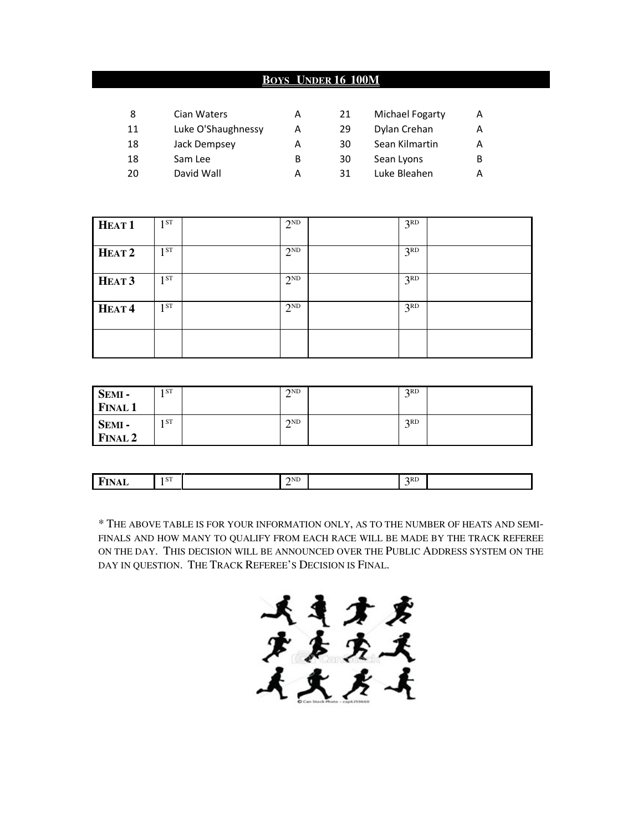## **BOYS UNDER 16 100M**

| 8  | Cian Waters        | А | 21 | Michael Fogarty | A |
|----|--------------------|---|----|-----------------|---|
| 11 | Luke O'Shaughnessy | А | 29 | Dylan Crehan    | А |
| 18 | Jack Dempsey       | А | 30 | Sean Kilmartin  | A |
| 18 | Sam Lee            | в | 30 | Sean Lyons      | B |
| 20 | David Wall         | А | 31 | Luke Bleahen    | А |

| HEAT <sub>1</sub> | 1 <sup>ST</sup> | $2^{ND}$ | 3 <sup>RD</sup> |  |
|-------------------|-----------------|----------|-----------------|--|
| HEAT <sub>2</sub> | 1 <sup>ST</sup> | $2^{ND}$ | 3 <sup>RD</sup> |  |
| HEAT <sub>3</sub> | 1 <sup>ST</sup> | $2^{ND}$ | 3 <sup>RD</sup> |  |
| HEAT <sup>4</sup> | 1 <sup>ST</sup> | $2^{ND}$ | 3 <sup>RD</sup> |  |
|                   |                 |          |                 |  |

| SEMI-<br><b>FINAL 1</b> | ST <sub>1</sub> | 2ND<br>∸                    | 2RD<br>◡ |  |
|-------------------------|-----------------|-----------------------------|----------|--|
| SEMI-<br><b>FINAL 2</b> | ST.             | $\gamma$ <sub>ND</sub><br>∸ | 2RD      |  |

| $\overline{\phantom{a}}$<br>-<br>.<br>----- | <b>CTP</b><br>I O L | $\gamma$ ND<br>- | 2RD |  |
|---------------------------------------------|---------------------|------------------|-----|--|
|                                             |                     |                  |     |  |

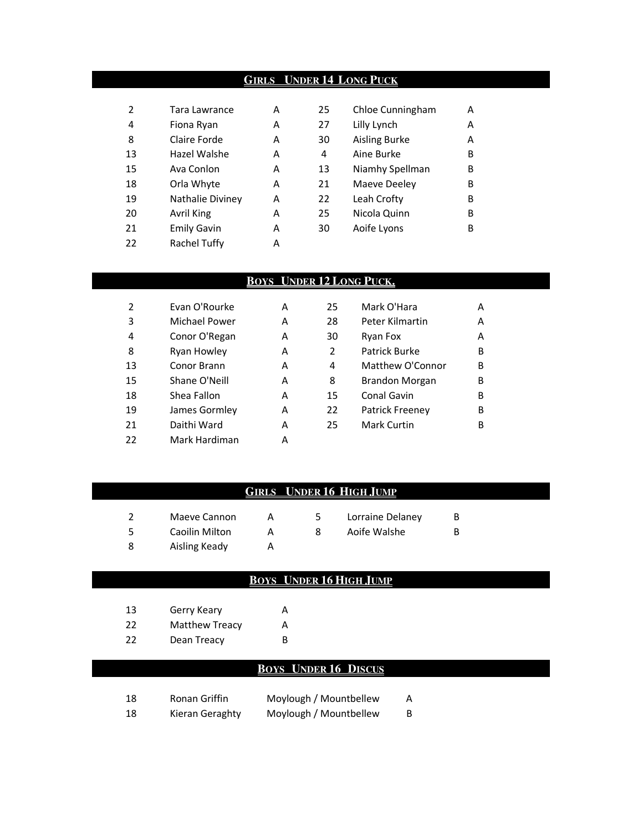## **GIRLS UNDER 14 LONG PUCK**

| 2  | Tara Lawrance      | А | 25 | Chloe Cunningham     | А |
|----|--------------------|---|----|----------------------|---|
| 4  | Fiona Ryan         | Α | 27 | Lilly Lynch          | А |
| 8  | Claire Forde       | A | 30 | <b>Aisling Burke</b> | A |
| 13 | Hazel Walshe       | Α | 4  | Aine Burke           | B |
| 15 | Ava Conlon         | A | 13 | Niamhy Spellman      | B |
| 18 | Orla Whyte         | А | 21 | Maeve Deeley         | B |
| 19 | Nathalie Diviney   | A | 22 | Leah Crofty          | В |
| 20 | Avril King         | А | 25 | Nicola Quinn         | B |
| 21 | <b>Emily Gavin</b> | Α | 30 | Aoife Lyons          | В |
| 22 | Rachel Tuffy       | Α |    |                      |   |

## **BOYS UNDER 12 LONG PUCK.**

| 2  | Evan O'Rourke | А | 25 | Mark O'Hara        | А |
|----|---------------|---|----|--------------------|---|
| 3  | Michael Power | А | 28 | Peter Kilmartin    | A |
| 4  | Conor O'Regan | A | 30 | Ryan Fox           | A |
| 8  | Ryan Howley   | А | 2  | Patrick Burke      | B |
| 13 | Conor Brann   | А | 4  | Matthew O'Connor   | B |
| 15 | Shane O'Neill | А | 8  | Brandon Morgan     | B |
| 18 | Shea Fallon   | А | 15 | Conal Gavin        | B |
| 19 | James Gormley | А | 22 | Patrick Freeney    | B |
| 21 | Daithi Ward   | А | 25 | <b>Mark Curtin</b> | В |
| 22 | Mark Hardiman | А |    |                    |   |

## **GIRLS UNDER 16 HIGH JUMP**

| Maeve Cannon   |  | Lorraine Delaney | B |
|----------------|--|------------------|---|
| Caoilin Milton |  | Aoife Walshe     | В |
| Aisling Keady  |  |                  |   |

## **BOYS UNDER 16 HIGH JUMP**

| 13 | Gerry Keary           | А |
|----|-----------------------|---|
| 22 | <b>Matthew Treacy</b> | А |
| 22 | Dean Treacy           | в |

## **BOYS UNDER 16 DISCUS**

| 18 | Ronan Griffin   | Moylough / Mountbellew | A  |
|----|-----------------|------------------------|----|
| 18 | Kieran Geraghty | Moylough / Mountbellew | B. |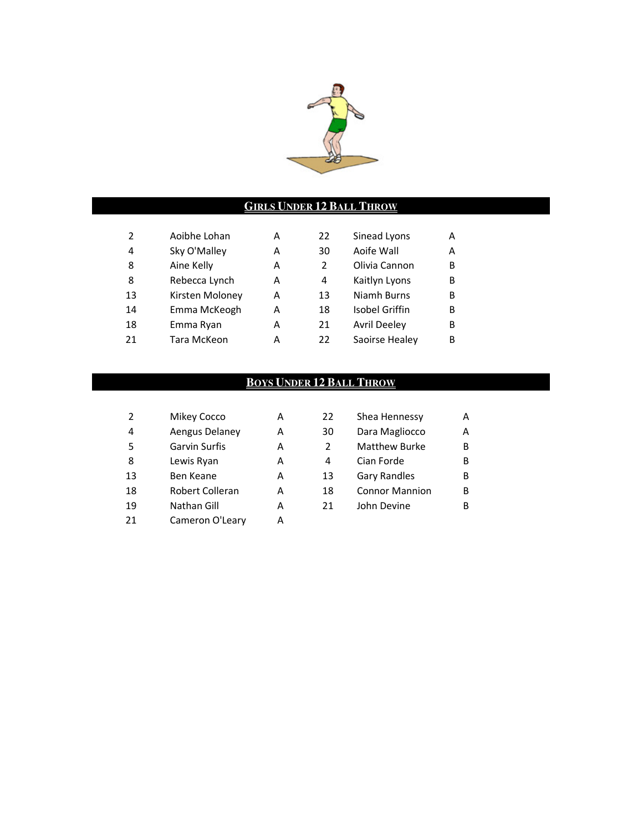

## **GIRLS UNDER 12 BALL THROW**

| А |
|---|
| А |
| В |
| В |
| В |
| В |
| В |
| В |
|   |

## **BOYS UNDER 12 BALL THROW**

| 2              | Mikey Cocco     | А | 22 | Shea Hennessy         | A |
|----------------|-----------------|---|----|-----------------------|---|
| $\overline{4}$ | Aengus Delaney  | А | 30 | Dara Magliocco        | A |
| -5             | Garvin Surfis   | А | 2  | <b>Matthew Burke</b>  | B |
| 8              | Lewis Ryan      | А | 4  | Cian Forde            | В |
| 13             | Ben Keane       | А | 13 | <b>Gary Randles</b>   | B |
| 18             | Robert Colleran | А | 18 | <b>Connor Mannion</b> | В |
| 19             | Nathan Gill     | А | 21 | John Devine           | В |
| 21             | Cameron O'Leary | А |    |                       |   |

| 22             | Shea Hennessy         | А |
|----------------|-----------------------|---|
| 30             | Dara Magliocco        | А |
| $\overline{2}$ | <b>Matthew Burke</b>  | в |
| 4              | Cian Forde            | B |
| 13             | Gary Randles          | в |
| 18             | <b>Connor Mannion</b> | в |
| 21             | John Devine           | R |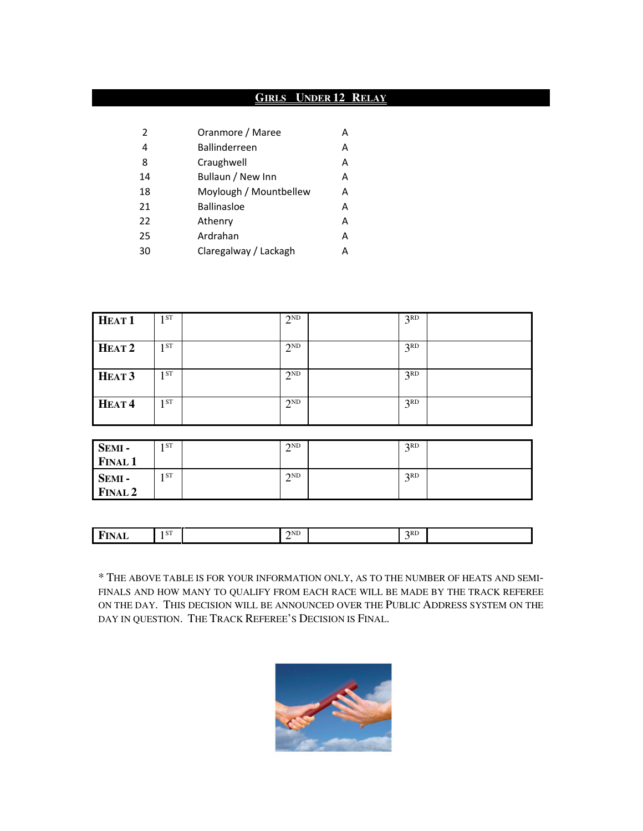## **GIRLS UNDER 12 RELAY**

| 2  | Oranmore / Maree       | А |
|----|------------------------|---|
| 4  | <b>Ballinderreen</b>   | А |
| 8  | Craughwell             | А |
| 14 | Bullaun / New Inn      | А |
| 18 | Moylough / Mountbellew | А |
| 21 | <b>Ballinasloe</b>     | А |
| 22 | Athenry                | А |
| 25 | Ardrahan               | А |
| 30 | Claregalway / Lackagh  | А |

| HEAT <sub>1</sub> | 1 <sub>ST</sub> | $2^{ND}$ | 3 <sup>RD</sup> |  |
|-------------------|-----------------|----------|-----------------|--|
| HEAT <sub>2</sub> | 1 <sup>ST</sup> | $2^{ND}$ | 3 <sup>RD</sup> |  |
| HEAT <sub>3</sub> | 1 ST            | $2^{ND}$ | 3 <sup>RD</sup> |  |
| HEAT <sup>4</sup> | 1 <sup>ST</sup> | $2^{ND}$ | 3 <sup>RD</sup> |  |
|                   |                 |          |                 |  |
| SEMI-             | 1ST             | $2^{ND}$ | 3 <sup>RD</sup> |  |

| <b>SEMI-</b><br><b>FINAL 1</b> | I O L | <b>JIND</b><br>↩ | ∡⊾<br>້  |  |
|--------------------------------|-------|------------------|----------|--|
| SEMI-<br><b>FINAL 2</b>        | I ST  | 2ND<br>∸         | 2RD<br>~ |  |

| 1. L<br>.<br>-<br>----- |
|-------------------------|
|-------------------------|

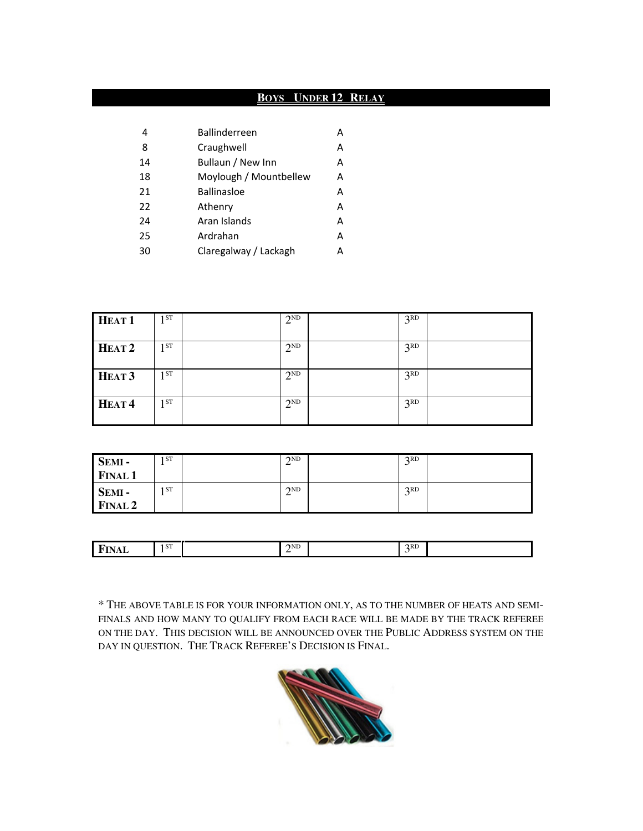## **BOYS UNDER 12 RELAY**

| 4  | <b>Ballinderreen</b>   | А |
|----|------------------------|---|
| 8  | Craughwell             | A |
| 14 | Bullaun / New Inn      | A |
| 18 | Moylough / Mountbellew | A |
| 21 | <b>Ballinasloe</b>     | A |
| 22 | Athenry                | A |
| 24 | Aran Islands           | A |
| 25 | Ardrahan               | A |
| 30 | Claregalway / Lackagh  | А |

| HEAT <sub>1</sub> | 1 <sup>ST</sup> | $2^{ND}$ | 3 <sup>RD</sup> |  |
|-------------------|-----------------|----------|-----------------|--|
| HEAT <sub>2</sub> | 1ST             | $2^{ND}$ | 3 <sup>RD</sup> |  |
| HEAT <sub>3</sub> | 1 <sup>ST</sup> | $2^{ND}$ | 3 <sup>RD</sup> |  |
| HEAT <sup>4</sup> | 1 <sup>ST</sup> | $2^{ND}$ | 3 <sup>RD</sup> |  |

| SEMI-          | 1 ST | $\gamma$ <sub>ND</sub> | 2RD<br>ັ |  |
|----------------|------|------------------------|----------|--|
| <b>FINAL 1</b> |      |                        |          |  |
| SEMI-          | 1 ST | $\gamma$ <sub>ND</sub> | 2RD<br>ັ |  |
| <b>FINAL 2</b> |      |                        |          |  |

| -<br>,,,,,<br>--<br>----- |
|---------------------------|
|---------------------------|

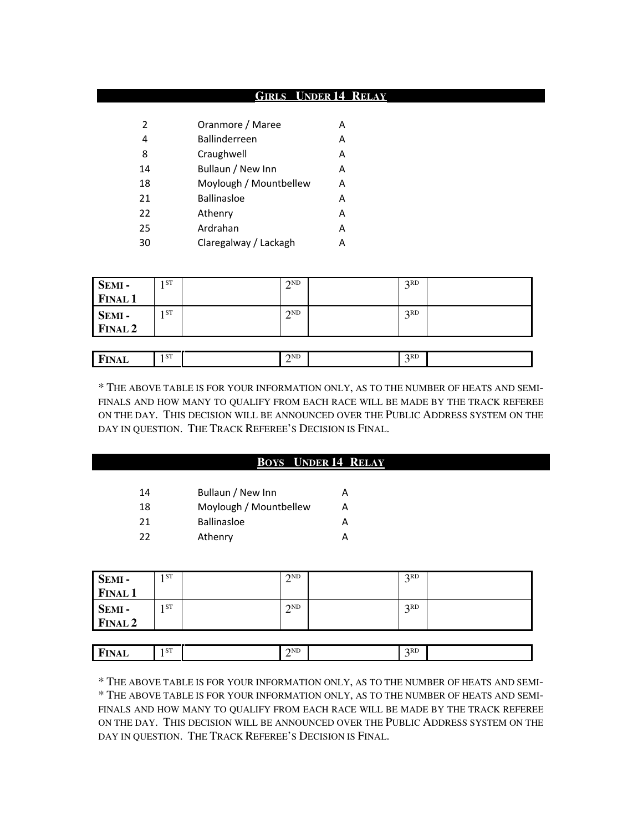#### **GIRLS UNDER 14 RELAY**

| 2              | Oranmore / Maree       |   |
|----------------|------------------------|---|
| $\overline{4}$ | <b>Ballinderreen</b>   | А |
| 8              | Craughwell             | А |
| 14             | Bullaun / New Inn      | А |
| 18             | Moylough / Mountbellew | А |
| 21             | <b>Ballinasloe</b>     | А |
| 22             | Athenry                | А |
| 25             | Ardrahan               | А |
| 30             | Claregalway / Lackagh  | А |

**FINAL** 1<sup>ST</sup>

|                   | 1 ST | $\gamma$ <sub>ND</sub><br>∠ | 2RD<br>◡ |  |
|-------------------|------|-----------------------------|----------|--|
| SEMI -<br>FINAL 1 |      |                             |          |  |
|                   | 1 ST | $\gamma$ <sub>ND</sub><br>↩ | 2RD<br>◡ |  |
| SEMI -<br>FINAL 2 |      |                             |          |  |
|                   |      |                             |          |  |

 $2^{ND}$  3<sup>RD</sup> 3<sup>RD</sup>

\* THE ABOVE TABLE IS FOR YOUR INFORMATION ONLY, AS TO THE NUMBER OF HEATS AND SEMI-FINALS AND HOW MANY TO QUALIFY FROM EACH RACE WILL BE MADE BY THE TRACK REFEREE ON THE DAY. THIS DECISION WILL BE ANNOUNCED OVER THE PUBLIC ADDRESS SYSTEM ON THE DAY IN QUESTION. THE TRACK REFEREE'S DECISION IS FINAL.

 $3<sup>RD</sup>$ 

|    | <b>BOYS</b> UNDER 14 RELAY |   |  |  |  |  |  |
|----|----------------------------|---|--|--|--|--|--|
| 14 | Bullaun / New Inn          | A |  |  |  |  |  |
| 18 | Moylough / Mountbellew     | A |  |  |  |  |  |
| 21 | Ballinasloe                | A |  |  |  |  |  |
| 22 | Athenry                    | A |  |  |  |  |  |
|    |                            |   |  |  |  |  |  |

| SEMI -<br>FINAL 1 | 1 ST            | $\gamma$ <sub>ND</sub> | 2RD             |  |
|-------------------|-----------------|------------------------|-----------------|--|
|                   |                 |                        |                 |  |
| SEMI-             | 1 <sub>ST</sub> | 2ND                    | R <sub>CD</sub> |  |
| <b>FINAL 2</b>    |                 |                        |                 |  |

| F)<br>n<br><b>FINAL</b> | I ST | 2ND<br>- | 2RD |  |
|-------------------------|------|----------|-----|--|
|                         |      |          |     |  |

\* THE ABOVE TABLE IS FOR YOUR INFORMATION ONLY, AS TO THE NUMBER OF HEATS AND SEMI- \* THE ABOVE TABLE IS FOR YOUR INFORMATION ONLY, AS TO THE NUMBER OF HEATS AND SEMI-FINALS AND HOW MANY TO QUALIFY FROM EACH RACE WILL BE MADE BY THE TRACK REFEREE ON THE DAY. THIS DECISION WILL BE ANNOUNCED OVER THE PUBLIC ADDRESS SYSTEM ON THE DAY IN QUESTION. THE TRACK REFEREE'S DECISION IS FINAL.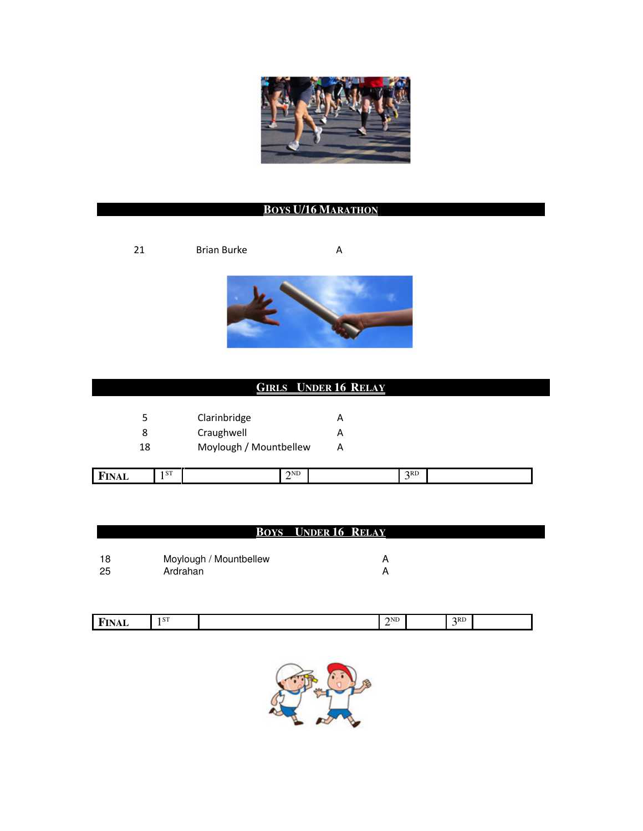

## **BOYS U/16 MARATHON**

21 Brian Burke A



## **GIRLS UNDER 16 RELAY**

| 5  | Clarinbridge           | А |
|----|------------------------|---|
| 8  | Craughwell             | А |
| 18 | Moylough / Mountbellew | А |

|  | . т.<br>۔ -<br>۰A<br>17 L<br>.<br>----- | I ST |  | $\gamma$ <sub>ND</sub><br>-- |  | 2RD |  |
|--|-----------------------------------------|------|--|------------------------------|--|-----|--|
|--|-----------------------------------------|------|--|------------------------------|--|-----|--|

#### **BOYS UNDER 16 RELAY**

| 18 | Moylough / Mountbellew |  |
|----|------------------------|--|
| 25 | Ardrahan               |  |

| л.<br>.<br>,,,,,<br>___ | L OTP<br>. | $\gamma$ ND<br>- | 2RD |  |
|-------------------------|------------|------------------|-----|--|
|                         |            |                  |     |  |

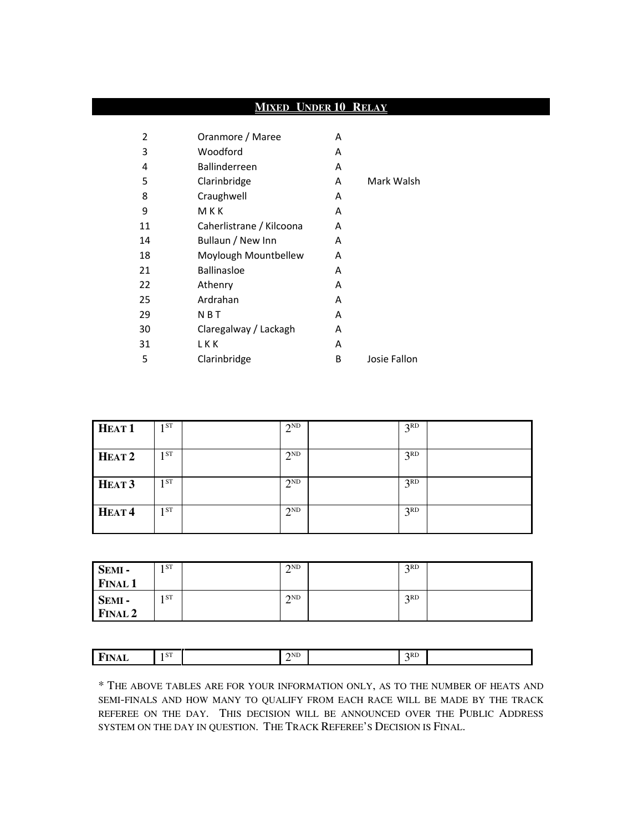## **MIXED UNDER 10 RELAY**

| 2  | Oranmore / Maree         | A |              |
|----|--------------------------|---|--------------|
| 3  | Woodford                 | A |              |
| 4  | Ballinderreen            | A |              |
| 5  | Clarinbridge             | А | Mark Walsh   |
| 8  | Craughwell               | A |              |
| 9  | MKK                      | A |              |
| 11 | Caherlistrane / Kilcoona | А |              |
| 14 | Bullaun / New Inn        | A |              |
| 18 | Moylough Mountbellew     | А |              |
| 21 | <b>Ballinasloe</b>       | А |              |
| 22 | Athenry                  | A |              |
| 25 | Ardrahan                 | A |              |
| 29 | N B T                    | A |              |
| 30 | Claregalway / Lackagh    | A |              |
| 31 | LKK                      | А |              |
| 5  | Clarinbridge             | В | Josie Fallon |

| HEAT <sub>1</sub> | 1ST             | $2^{ND}$ | 3 <sup>RD</sup> |  |
|-------------------|-----------------|----------|-----------------|--|
| HEAT <sub>2</sub> | 1ST             | $2^{ND}$ | 3 <sup>RD</sup> |  |
| HEAT <sub>3</sub> | 1ST             | $2^{ND}$ | 3 <sup>RD</sup> |  |
| HEAT <sup>4</sup> | 1 <sub>ST</sub> | $2^{ND}$ | 3 <sup>RD</sup> |  |

| SEMI-          | 1 ST | $\gamma$ <sub>ND</sub><br>∸ | 2RD<br>ັ |  |
|----------------|------|-----------------------------|----------|--|
| <b>FINAL 1</b> |      |                             |          |  |
| SEMI-          | 1 ST | 2ND                         | 2RD<br>ັ |  |
| <b>FINAL 2</b> |      |                             |          |  |

| I ST                   | <u>_</u> |
|------------------------|----------|
| $\gamma$ <sub>ND</sub> | . .      |
| 2RD                    | -        |
| $\blacksquare$         | .        |
|                        |          |
|                        |          |
| w                      | -----    |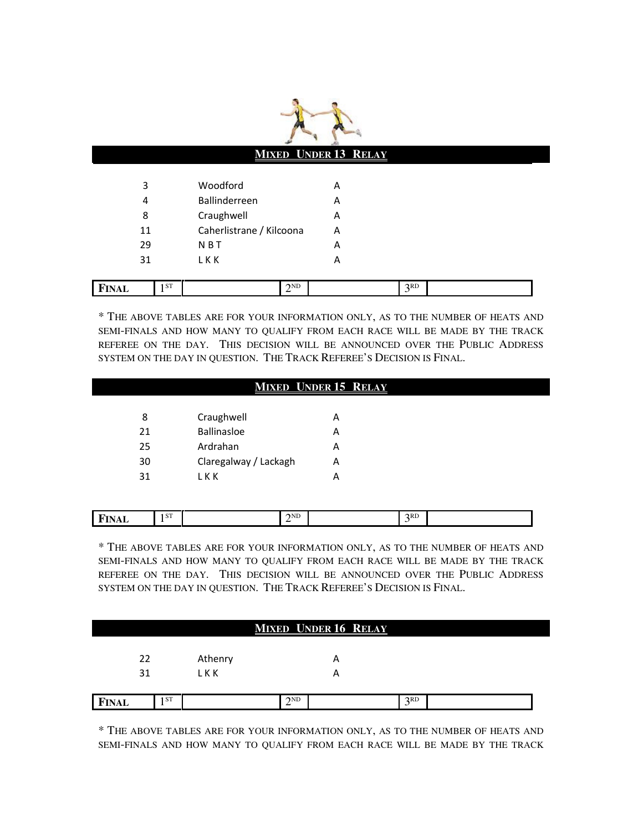|              |                          | <b>MIXED UNDER 13 RELAY</b> |                 |  |
|--------------|--------------------------|-----------------------------|-----------------|--|
| 3            | Woodford                 | Α                           |                 |  |
| 4            | Ballinderreen            | A                           |                 |  |
| 8            | Craughwell               | A                           |                 |  |
| 11           | Caherlistrane / Kilcoona | A                           |                 |  |
| 29           | <b>NBT</b>               | Α                           |                 |  |
| 31           | <b>LKK</b>               | Α                           |                 |  |
| <b>FINAL</b> | <b>ST</b><br>$2^{ND}$    |                             | 3 <sup>RD</sup> |  |

\* THE ABOVE TABLES ARE FOR YOUR INFORMATION ONLY, AS TO THE NUMBER OF HEATS AND SEMI-FINALS AND HOW MANY TO QUALIFY FROM EACH RACE WILL BE MADE BY THE TRACK REFEREE ON THE DAY. THIS DECISION WILL BE ANNOUNCED OVER THE PUBLIC ADDRESS SYSTEM ON THE DAY IN QUESTION. THE TRACK REFEREE'S DECISION IS FINAL.

#### **MIXED UNDER 15 RELAY**

| 8  | Craughwell            | А |
|----|-----------------------|---|
| 21 | <b>Ballinasloe</b>    | А |
| 25 | Ardrahan              | А |
| 30 | Claregalway / Lackagh | А |
| 31 | L K K                 |   |

| I ST<br>2RD<br>$\gamma$ <sub>ND</sub><br><b>FIN</b><br>плац<br>-- |
|-------------------------------------------------------------------|
|-------------------------------------------------------------------|

\* THE ABOVE TABLES ARE FOR YOUR INFORMATION ONLY, AS TO THE NUMBER OF HEATS AND SEMI-FINALS AND HOW MANY TO QUALIFY FROM EACH RACE WILL BE MADE BY THE TRACK REFEREE ON THE DAY. THIS DECISION WILL BE ANNOUNCED OVER THE PUBLIC ADDRESS SYSTEM ON THE DAY IN QUESTION. THE TRACK REFEREE'S DECISION IS FINAL.

|              |      |         |     | <b>MIXED UNDER 16 RELAY</b> |     |  |
|--------------|------|---------|-----|-----------------------------|-----|--|
|              |      |         |     |                             |     |  |
| 22           |      | Athenry |     | Α                           |     |  |
| 31           |      | L K K   |     | $\overline{\phantom{a}}$    |     |  |
|              |      |         |     |                             |     |  |
| <b>FINAL</b> | 1 ST |         | 2ND |                             | 2RD |  |

\* THE ABOVE TABLES ARE FOR YOUR INFORMATION ONLY, AS TO THE NUMBER OF HEATS AND SEMI-FINALS AND HOW MANY TO QUALIFY FROM EACH RACE WILL BE MADE BY THE TRACK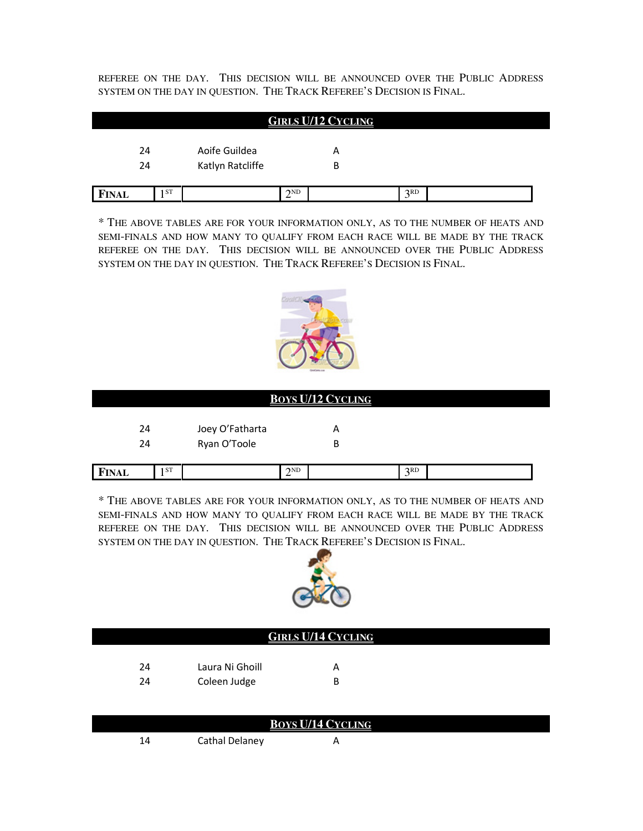REFEREE ON THE DAY. THIS DECISION WILL BE ANNOUNCED OVER THE PUBLIC ADDRESS SYSTEM ON THE DAY IN QUESTION. THE TRACK REFEREE'S DECISION IS FINAL.

|              |    |                  |          | <b>GIRLS U/12 CYCLING</b> |     |  |
|--------------|----|------------------|----------|---------------------------|-----|--|
| 24           |    | Aoife Guildea    |          | Α                         |     |  |
| 24           |    | Katlyn Ratcliffe |          | В                         |     |  |
| <b>FINAL</b> | ST |                  | $2^{ND}$ |                           | 3RD |  |

\* THE ABOVE TABLES ARE FOR YOUR INFORMATION ONLY, AS TO THE NUMBER OF HEATS AND SEMI-FINALS AND HOW MANY TO QUALIFY FROM EACH RACE WILL BE MADE BY THE TRACK REFEREE ON THE DAY. THIS DECISION WILL BE ANNOUNCED OVER THE PUBLIC ADDRESS SYSTEM ON THE DAY IN QUESTION. THE TRACK REFEREE'S DECISION IS FINAL.



|              |      |                 |                        | <b>BOYS U/12 CYCLING</b> |                 |  |  |
|--------------|------|-----------------|------------------------|--------------------------|-----------------|--|--|
| 24           |      | Joey O'Fatharta |                        | Α                        |                 |  |  |
| 24           |      | Ryan O'Toole    |                        | В                        |                 |  |  |
| <b>FINAL</b> | 1 ST |                 | $\gamma$ <sub>ND</sub> |                          | 3 <sup>RD</sup> |  |  |

| * THE ABOVE TABLES ARE FOR YOUR INFORMATION ONLY, AS TO THE NUMBER OF HEATS AND |
|---------------------------------------------------------------------------------|
| SEMI-FINALS AND HOW MANY TO OUALIFY FROM EACH RACE WILL BE MADE BY THE TRACK    |
| prepare ou gue p.1y. Thus provided with an indication over gue Dimito Appares   |

REFEREE ON THE DAY. THIS DECISION WILL BE ANNOUNCED OVER THE PUBLIC ADDRESS SYSTEM ON THE DAY IN QUESTION. THE TRACK REFEREE'S DECISION IS FINAL.



| <b>GIRLS U/14 CYCLING</b> |                 |   |  |  |  |  |
|---------------------------|-----------------|---|--|--|--|--|
| 24                        | Laura Ni Ghoill | А |  |  |  |  |
| 24                        | Coleen Judge    | В |  |  |  |  |

| <b>BOYS U/14 CYCLING</b> |                |  |  |  |
|--------------------------|----------------|--|--|--|
|                          | Cathal Delaney |  |  |  |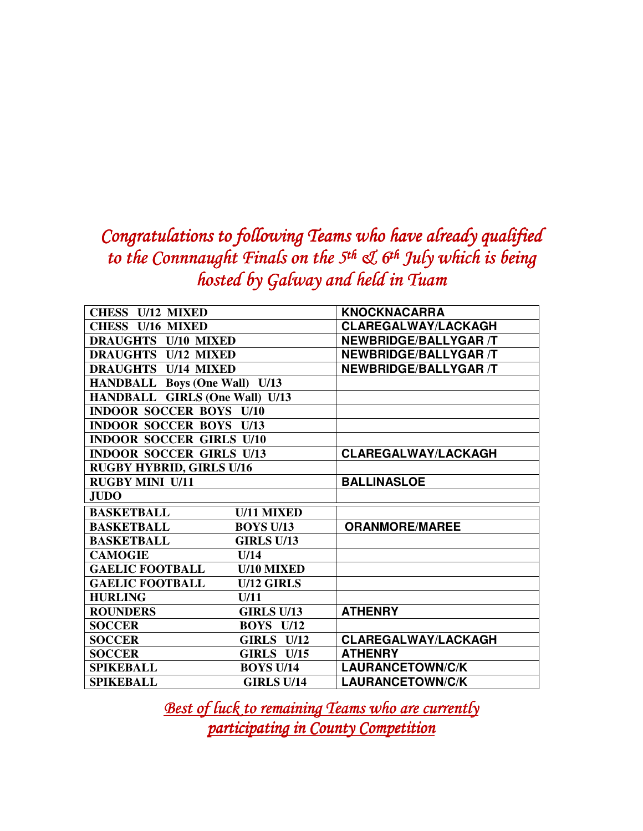## Congratulations to following Teams who have already qualified to the Connnaught Finals on the  $5<sup>th</sup>$  &  $6<sup>th</sup>$  July which is being hosted by Galway and held in Tuam

| <b>CHESS U/12 MIXED</b>               |                   | <b>KNOCKNACARRA</b>          |
|---------------------------------------|-------------------|------------------------------|
| CHESS U/16 MIXED                      |                   | <b>CLAREGALWAY/LACKAGH</b>   |
| <b>DRAUGHTS U/10 MIXED</b>            |                   | <b>NEWBRIDGE/BALLYGAR /T</b> |
| <b>DRAUGHTS U/12 MIXED</b>            |                   | <b>NEWBRIDGE/BALLYGAR /T</b> |
| <b>DRAUGHTS U/14 MIXED</b>            |                   | <b>NEWBRIDGE/BALLYGAR /T</b> |
| <b>HANDBALL Boys (One Wall) U/13</b>  |                   |                              |
| <b>HANDBALL GIRLS (One Wall) U/13</b> |                   |                              |
| <b>INDOOR SOCCER BOYS U/10</b>        |                   |                              |
| <b>INDOOR SOCCER BOYS U/13</b>        |                   |                              |
| <b>INDOOR SOCCER GIRLS U/10</b>       |                   |                              |
| <b>INDOOR SOCCER GIRLS U/13</b>       |                   | <b>CLAREGALWAY/LACKAGH</b>   |
| <b>RUGBY HYBRID, GIRLS U/16</b>       |                   |                              |
| <b>RUGBY MINI U/11</b>                |                   | <b>BALLINASLOE</b>           |
| <b>JUDO</b>                           |                   |                              |
| <b>BASKETBALL</b>                     | <b>U/11 MIXED</b> |                              |
| <b>BASKETBALL</b>                     | <b>BOYS U/13</b>  | <b>ORANMORE/MAREE</b>        |
| <b>BASKETBALL</b>                     | <b>GIRLS U/13</b> |                              |
| <b>CAMOGIE</b>                        | U/14              |                              |
| <b>GAELIC FOOTBALL</b>                | <b>U/10 MIXED</b> |                              |
| <b>GAELIC FOOTBALL</b>                | <b>U/12 GIRLS</b> |                              |
| <b>HURLING</b>                        | U/11              |                              |
| <b>ROUNDERS</b>                       | <b>GIRLS U/13</b> | <b>ATHENRY</b>               |
| <b>SOCCER</b>                         | <b>BOYS</b> U/12  |                              |
| <b>SOCCER</b>                         | <b>GIRLS U/12</b> | <b>CLAREGALWAY/LACKAGH</b>   |
| <b>SOCCER</b>                         | <b>GIRLS U/15</b> | <b>ATHENRY</b>               |
| <b>SPIKEBALL</b>                      | <b>BOYS U/14</b>  | <b>LAURANCETOWN/C/K</b>      |
| <b>SPIKEBALL</b>                      | <b>GIRLS U/14</b> | <b>LAURANCETOWN/C/K</b>      |

Best of luck to remaining Teams who are currently participating in County Competition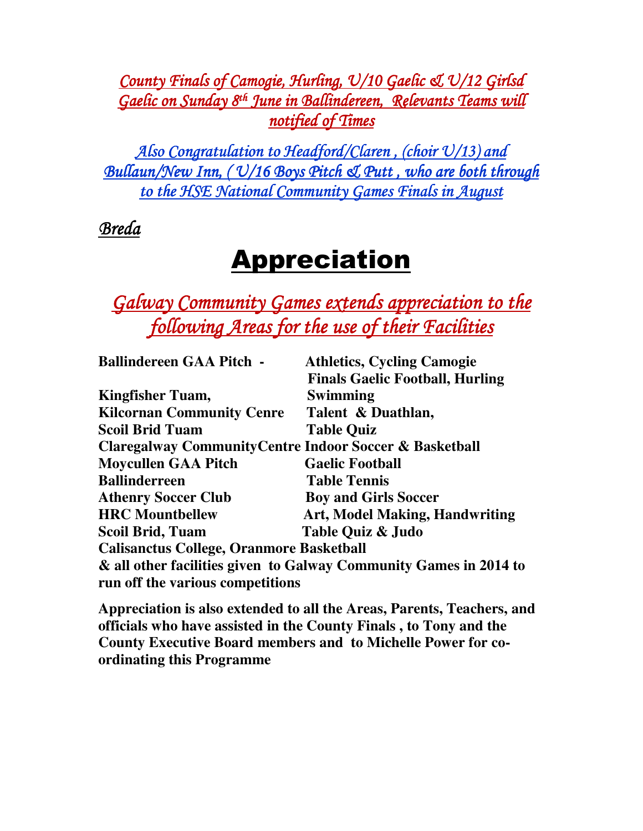County Finals of Camogie, Hurling, U/10 Gaelic & U/12 Girlsd Gaelic on Sunday 8<sup>th</sup> June in Ballindereen, Relevants Teams will notified of Times

Also Congratulation to Headford/Claren, (choir  $\mathcal{V}/13$ ) and Bullaun/New Inn, (  $\frac{U}{16}$  Boys Pitch & Putt, who are both through to the HSE National Community Games Finals in August

Breda

# **Appreciation**

Galway Community Games extends appreciation to the following Areas for the use of their Facilities

| <b>Athletics, Cycling Camogie</b>                                                                     |  |  |
|-------------------------------------------------------------------------------------------------------|--|--|
| <b>Finals Gaelic Football, Hurling</b>                                                                |  |  |
| Swimming                                                                                              |  |  |
| Talent & Duathlan,                                                                                    |  |  |
| <b>Table Quiz</b>                                                                                     |  |  |
| <b>Claregalway Community Centre Indoor Soccer &amp; Basketball</b>                                    |  |  |
| <b>Gaelic Football</b>                                                                                |  |  |
| <b>Table Tennis</b>                                                                                   |  |  |
| <b>Boy and Girls Soccer</b>                                                                           |  |  |
| <b>Art, Model Making, Handwriting</b>                                                                 |  |  |
| Table Quiz & Judo                                                                                     |  |  |
| <b>Calisanctus College, Oranmore Basketball</b>                                                       |  |  |
| & all other facilities given to Galway Community Games in 2014 to<br>run off the various competitions |  |  |
|                                                                                                       |  |  |

**Appreciation is also extended to all the Areas, Parents, Teachers, and officials who have assisted in the County Finals , to Tony and the County Executive Board members and to Michelle Power for coordinating this Programme**